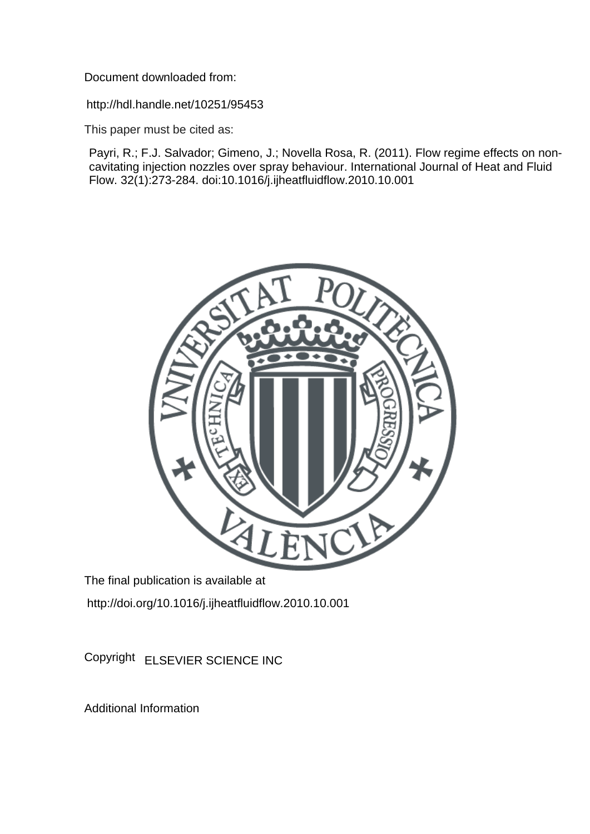Document downloaded from:

http://hdl.handle.net/10251/95453

This paper must be cited as:

Payri, R.; F.J. Salvador; Gimeno, J.; Novella Rosa, R. (2011). Flow regime effects on noncavitating injection nozzles over spray behaviour. International Journal of Heat and Fluid Flow. 32(1):273-284. doi:10.1016/j.ijheatfluidflow.2010.10.001



The final publication is available at http://doi.org/10.1016/j.ijheatfluidflow.2010.10.001

Copyright ELSEVIER SCIENCE INC

Additional Information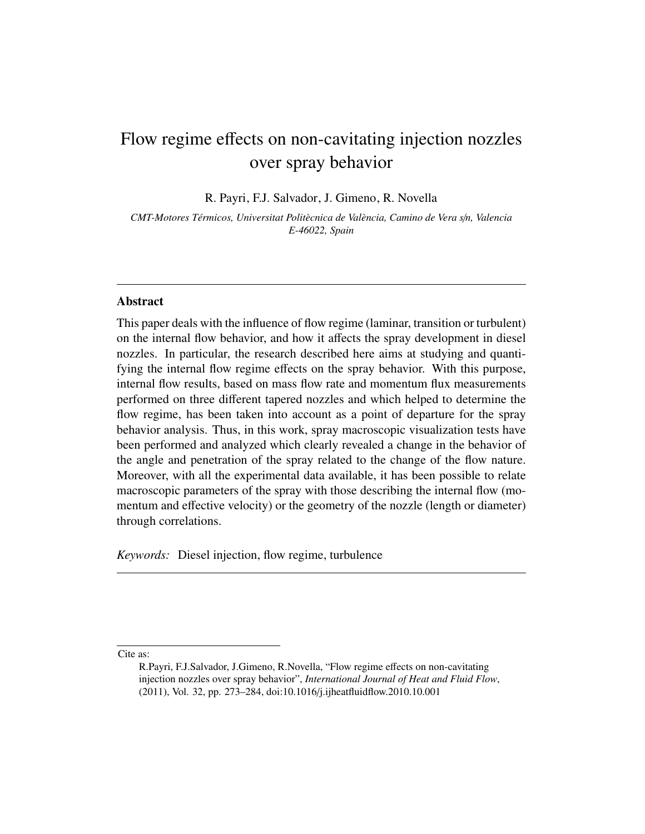# Flow regime effects on non-cavitating injection nozzles over spray behavior

R. Payri, F.J. Salvador, J. Gimeno, R. Novella

*CMT-Motores Térmicos, Universitat Politècnica de València, Camino de Vera s*/*n, Valencia E-46022, Spain*

# Abstract

This paper deals with the influence of flow regime (laminar, transition or turbulent) on the internal flow behavior, and how it affects the spray development in diesel nozzles. In particular, the research described here aims at studying and quantifying the internal flow regime effects on the spray behavior. With this purpose, internal flow results, based on mass flow rate and momentum flux measurements performed on three different tapered nozzles and which helped to determine the flow regime, has been taken into account as a point of departure for the spray behavior analysis. Thus, in this work, spray macroscopic visualization tests have been performed and analyzed which clearly revealed a change in the behavior of the angle and penetration of the spray related to the change of the flow nature. Moreover, with all the experimental data available, it has been possible to relate macroscopic parameters of the spray with those describing the internal flow (momentum and effective velocity) or the geometry of the nozzle (length or diameter) through correlations.

*Keywords:* Diesel injection, flow regime, turbulence

Cite as:

R.Payri, F.J.Salvador, J.Gimeno, R.Novella, "Flow regime effects on non-cavitating injection nozzles over spray behavior", *International Journal of Heat and Fluid Flow*, (2011), Vol. 32, pp. 273–284, doi:10.1016/[j.ijheatfluidflow.2010.10.001](https://doi.org/10.1016/j.ijheatfluidflow.2010.10.001)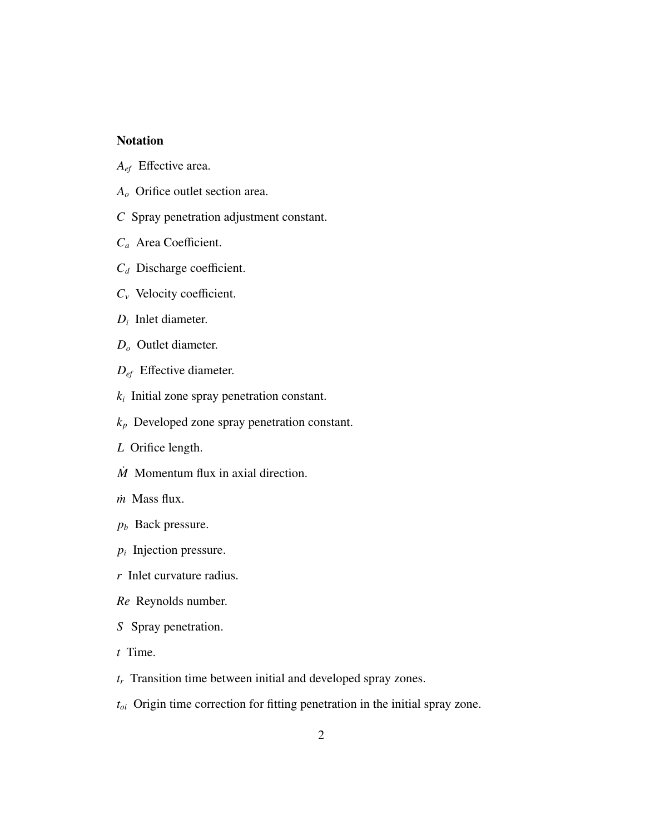# **Notation**

- *Aef* Effective area.
- *A<sup>o</sup>* Orifice outlet section area.
- *C* Spray penetration adjustment constant.
- *C<sup>a</sup>* Area Coefficient.
- *C<sup>d</sup>* Discharge coefficient.
- *C<sup>v</sup>* Velocity coefficient.
- *D<sup>i</sup>* Inlet diameter.
- *D<sup>o</sup>* Outlet diameter.
- *Def* Effective diameter.
- *k<sup>i</sup>* Initial zone spray penetration constant.
- *k<sup>p</sup>* Developed zone spray penetration constant.
- *L* Orifice length.
- $\dot{M}$  Momentum flux in axial direction.
- *m*˙ Mass flux.
- *p<sup>b</sup>* Back pressure.
- *p<sup>i</sup>* Injection pressure.
- *r* Inlet curvature radius.
- *Re* Reynolds number.
- *S* Spray penetration.
- *t* Time.
- *t<sup>r</sup>* Transition time between initial and developed spray zones.
- *toi* Origin time correction for fitting penetration in the initial spray zone.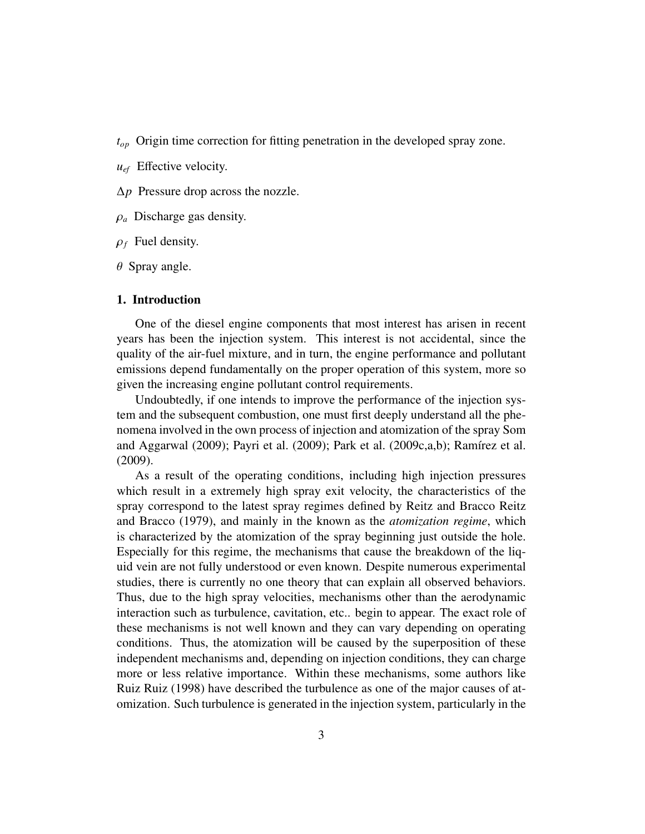- *top* Origin time correction for fitting penetration in the developed spray zone.
- *uef* Effective velocity.
- ∆*p* Pressure drop across the nozzle.
- $\rho_a$  Discharge gas density.
- $\rho_f$  Fuel density.
- $\theta$  Spray angle.

#### 1. Introduction

One of the diesel engine components that most interest has arisen in recent years has been the injection system. This interest is not accidental, since the quality of the air-fuel mixture, and in turn, the engine performance and pollutant emissions depend fundamentally on the proper operation of this system, more so given the increasing engine pollutant control requirements.

Undoubtedly, if one intends to improve the performance of the injection system and the subsequent combustion, one must first deeply understand all the phenomena involved in the own process of injection and atomization of the spray [Som](#page-32-0) [and Aggarwal](#page-32-0) [\(2009\)](#page-32-0); [Payri et al.](#page-31-0) [\(2009\)](#page-31-0); [Park et al.](#page-31-1) [\(2009c,](#page-31-1)[a](#page-31-2)[,b\)](#page-31-3); [Ramírez et al.](#page-32-1) [\(2009\)](#page-32-1).

As a result of the operating conditions, including high injection pressures which result in a extremely high spray exit velocity, the characteristics of the spray correspond to the latest spray regimes defined by Reitz and Bracco [Reitz](#page-32-2) [and Bracco](#page-32-2) [\(1979\)](#page-32-2), and mainly in the known as the *atomization regime*, which is characterized by the atomization of the spray beginning just outside the hole. Especially for this regime, the mechanisms that cause the breakdown of the liquid vein are not fully understood or even known. Despite numerous experimental studies, there is currently no one theory that can explain all observed behaviors. Thus, due to the high spray velocities, mechanisms other than the aerodynamic interaction such as turbulence, cavitation, etc.. begin to appear. The exact role of these mechanisms is not well known and they can vary depending on operating conditions. Thus, the atomization will be caused by the superposition of these independent mechanisms and, depending on injection conditions, they can charge more or less relative importance. Within these mechanisms, some authors like Ruiz [Ruiz](#page-32-3) [\(1998\)](#page-32-3) have described the turbulence as one of the major causes of atomization. Such turbulence is generated in the injection system, particularly in the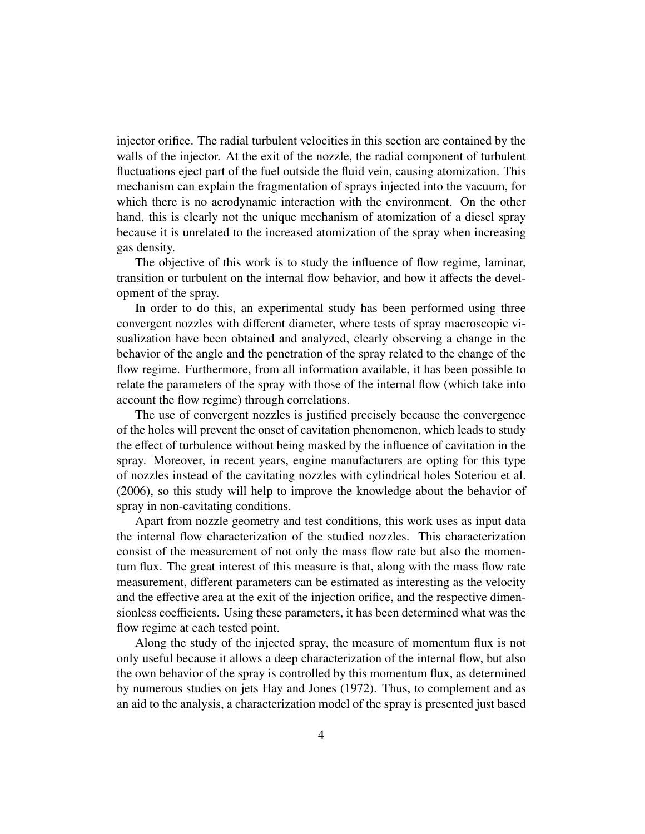injector orifice. The radial turbulent velocities in this section are contained by the walls of the injector. At the exit of the nozzle, the radial component of turbulent fluctuations eject part of the fuel outside the fluid vein, causing atomization. This mechanism can explain the fragmentation of sprays injected into the vacuum, for which there is no aerodynamic interaction with the environment. On the other hand, this is clearly not the unique mechanism of atomization of a diesel spray because it is unrelated to the increased atomization of the spray when increasing gas density.

The objective of this work is to study the influence of flow regime, laminar, transition or turbulent on the internal flow behavior, and how it affects the development of the spray.

In order to do this, an experimental study has been performed using three convergent nozzles with different diameter, where tests of spray macroscopic visualization have been obtained and analyzed, clearly observing a change in the behavior of the angle and the penetration of the spray related to the change of the flow regime. Furthermore, from all information available, it has been possible to relate the parameters of the spray with those of the internal flow (which take into account the flow regime) through correlations.

The use of convergent nozzles is justified precisely because the convergence of the holes will prevent the onset of cavitation phenomenon, which leads to study the effect of turbulence without being masked by the influence of cavitation in the spray. Moreover, in recent years, engine manufacturers are opting for this type of nozzles instead of the cavitating nozzles with cylindrical holes [Soteriou et al.](#page-32-4) [\(2006\)](#page-32-4), so this study will help to improve the knowledge about the behavior of spray in non-cavitating conditions.

Apart from nozzle geometry and test conditions, this work uses as input data the internal flow characterization of the studied nozzles. This characterization consist of the measurement of not only the mass flow rate but also the momentum flux. The great interest of this measure is that, along with the mass flow rate measurement, different parameters can be estimated as interesting as the velocity and the effective area at the exit of the injection orifice, and the respective dimensionless coefficients. Using these parameters, it has been determined what was the flow regime at each tested point.

Along the study of the injected spray, the measure of momentum flux is not only useful because it allows a deep characterization of the internal flow, but also the own behavior of the spray is controlled by this momentum flux, as determined by numerous studies on jets [Hay and Jones](#page-30-0) [\(1972\)](#page-30-0). Thus, to complement and as an aid to the analysis, a characterization model of the spray is presented just based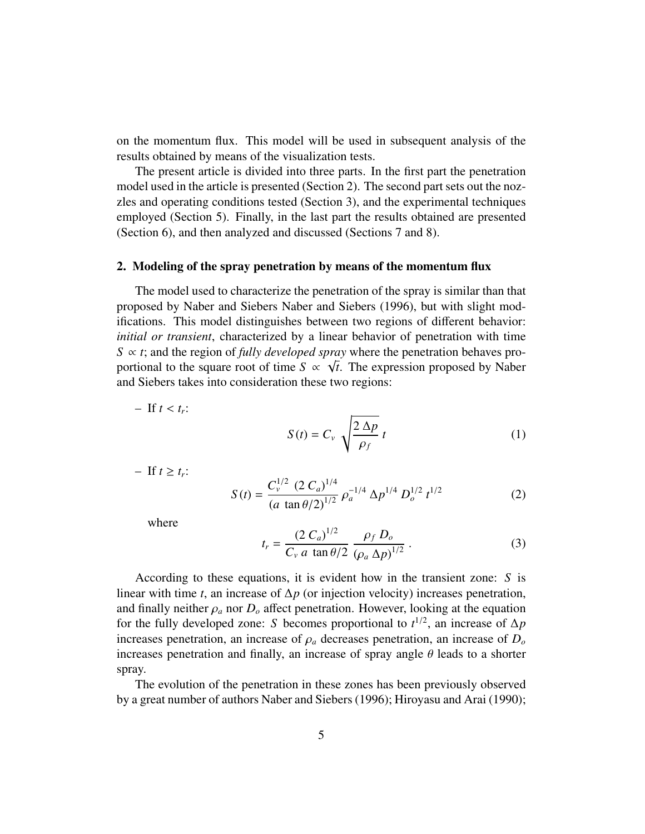on the momentum flux. This model will be used in subsequent analysis of the results obtained by means of the visualization tests.

The present article is divided into three parts. In the first part the penetration model used in the article is presented (Section [2\)](#page-5-0). The second part sets out the nozzles and operating conditions tested (Section [3\)](#page-7-0), and the experimental techniques employed (Section [5\)](#page-9-0). Finally, in the last part the results obtained are presented (Section [6\)](#page-12-0), and then analyzed and discussed (Sections [7](#page-17-0) and [8\)](#page-21-0).

## <span id="page-5-0"></span>2. Modeling of the spray penetration by means of the momentum flux

The model used to characterize the penetration of the spray is similar than that proposed by Naber and Siebers [Naber and Siebers](#page-31-4) [\(1996\)](#page-31-4), but with slight modifications. This model distinguishes between two regions of different behavior: *initial or transient*, characterized by a linear behavior of penetration with time  $S \propto t$ ; and the region of *fully developed spray* where the penetration behaves proportional to the square root of time  $S \propto \sqrt{t}$ . The expression proposed by Naber and Siebers takes into consideration these two regions:

$$
- \text{ If } t < t_r: \qquad \qquad S(t) = C_v \sqrt{\frac{2 \Delta p}{\rho_f}} \ t \tag{1}
$$

 $-$  If *t* ≥ *t<sub>r</sub>*:

<span id="page-5-2"></span><span id="page-5-1"></span>
$$
S(t) = \frac{C_v^{1/2} (2 C_a)^{1/4}}{(a \tan \theta/2)^{1/2}} \rho_a^{-1/4} \Delta p^{1/4} D_o^{1/2} t^{1/2}
$$
 (2)

where

<span id="page-5-3"></span>
$$
t_r = \frac{(2\ C_a)^{1/2}}{C_v \ a \ \tan \theta / 2} \frac{\rho_f \ D_o}{(\rho_a \ \Delta p)^{1/2}} \ . \tag{3}
$$

According to these equations, it is evident how in the transient zone: *S* is linear with time *t*, an increase of ∆*p* (or injection velocity) increases penetration, and finally neither  $\rho_a$  nor  $D_o$  affect penetration. However, looking at the equation for the fully developed zone: *S* becomes proportional to  $t^{1/2}$ , an increase of  $\Delta p$ increases penetration, an increase of  $\rho_a$  decreases penetration, an increase of  $D<sub>o</sub>$ increases penetration and finally, an increase of spray angle  $\theta$  leads to a shorter spray.

The evolution of the penetration in these zones has been previously observed by a great number of authors [Naber and Siebers](#page-31-4) [\(1996\)](#page-31-4); [Hiroyasu and Arai](#page-30-1) [\(1990\)](#page-30-1);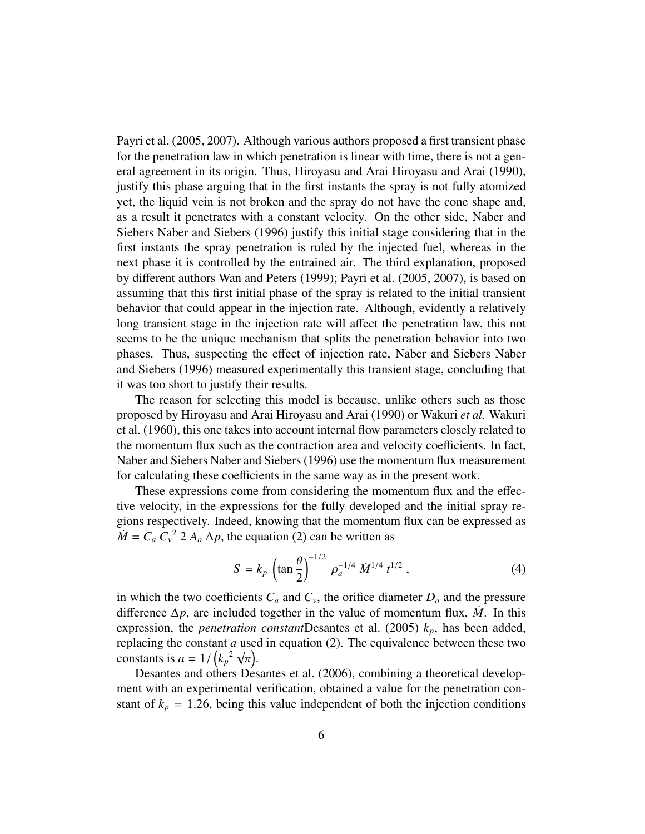[Payri et al.](#page-32-5) [\(2005,](#page-32-5) [2007\)](#page-31-5). Although various authors proposed a first transient phase for the penetration law in which penetration is linear with time, there is not a general agreement in its origin. Thus, Hiroyasu and Arai [Hiroyasu and Arai](#page-30-1) [\(1990\)](#page-30-1), justify this phase arguing that in the first instants the spray is not fully atomized yet, the liquid vein is not broken and the spray do not have the cone shape and, as a result it penetrates with a constant velocity. On the other side, Naber and Siebers [Naber and Siebers](#page-31-4) [\(1996\)](#page-31-4) justify this initial stage considering that in the first instants the spray penetration is ruled by the injected fuel, whereas in the next phase it is controlled by the entrained air. The third explanation, proposed by different authors [Wan and Peters](#page-32-6) [\(1999\)](#page-32-6); [Payri et al.](#page-32-5) [\(2005,](#page-32-5) [2007\)](#page-31-5), is based on assuming that this first initial phase of the spray is related to the initial transient behavior that could appear in the injection rate. Although, evidently a relatively long transient stage in the injection rate will affect the penetration law, this not seems to be the unique mechanism that splits the penetration behavior into two phases. Thus, suspecting the effect of injection rate, Naber and Siebers [Naber](#page-31-4) [and Siebers](#page-31-4) [\(1996\)](#page-31-4) measured experimentally this transient stage, concluding that it was too short to justify their results.

The reason for selecting this model is because, unlike others such as those proposed by Hiroyasu and Arai [Hiroyasu and Arai](#page-30-1) [\(1990\)](#page-30-1) or Wakuri *et al.* [Wakuri](#page-32-7) [et al.](#page-32-7) [\(1960\)](#page-32-7), this one takes into account internal flow parameters closely related to the momentum flux such as the contraction area and velocity coefficients. In fact, Naber and Siebers [Naber and Siebers](#page-31-4) [\(1996\)](#page-31-4) use the momentum flux measurement for calculating these coefficients in the same way as in the present work.

These expressions come from considering the momentum flux and the effective velocity, in the expressions for the fully developed and the initial spray regions respectively. Indeed, knowing that the momentum flux can be expressed as  $\dot{M} = C_a C_v^2$  2  $A_o \Delta p$ , the equation [\(2\)](#page-5-1) can be written as

<span id="page-6-0"></span>
$$
S = k_p \left( \tan \frac{\theta}{2} \right)^{-1/2} \rho_a^{-1/4} \dot{M}^{1/4} t^{1/2} , \qquad (4)
$$

in which the two coefficients  $C_a$  and  $C_v$ , the orifice diameter  $D_o$  and the pressure difference  $\Delta p$ , are included together in the value of momentum flux,  $\dot{M}$ . In this expression, the *penetration constant*[Desantes et al.](#page-30-2) [\(2005\)](#page-30-2)  $k_p$ , has been added, replacing the constant *a* used in equation [\(2\)](#page-5-1). The equivalence between these two replacing the constant *a* used<br>constants is  $a = 1/(k_p^2 \sqrt{\pi})$ .<br>Desentes and others Des

Desantes and others [Desantes et al.](#page-30-3) [\(2006\)](#page-30-3), combining a theoretical development with an experimental verification, obtained a value for the penetration constant of  $k_p = 1.26$ , being this value independent of both the injection conditions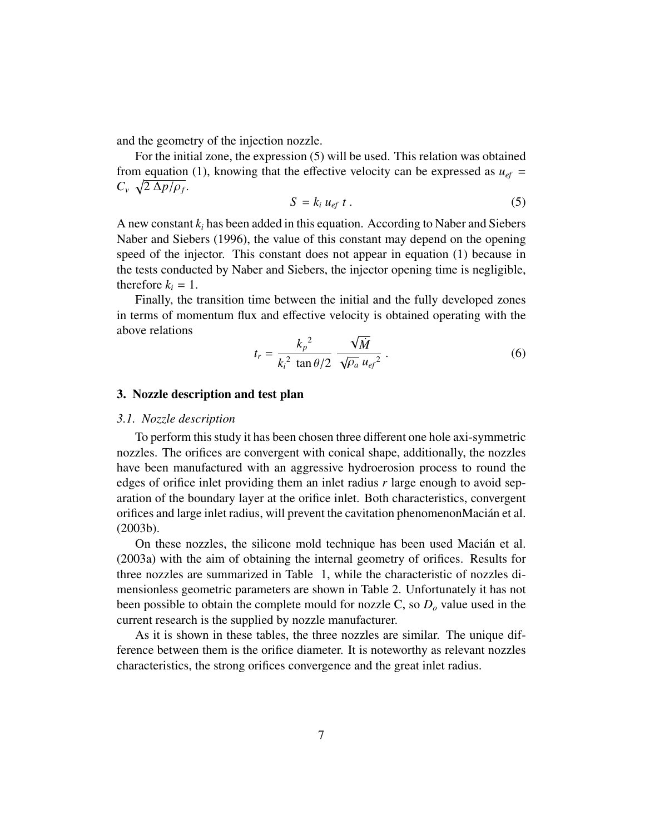and the geometry of the injection nozzle.

For the initial zone, the expression [\(5\)](#page-7-1) will be used. This relation was obtained from equation [\(1\)](#page-5-2), knowing that the effective velocity can be expressed as  $u_{ef}$  =  $C_v \sqrt{2 \Delta p / \rho_f}.$ 

<span id="page-7-1"></span>
$$
S = k_i u_{ef} t . \tag{5}
$$

A new constant *k<sup>i</sup>* has been added in this equation. According to Naber and Siebers [Naber and Siebers](#page-31-4) [\(1996\)](#page-31-4), the value of this constant may depend on the opening speed of the injector. This constant does not appear in equation [\(1\)](#page-5-2) because in the tests conducted by Naber and Siebers, the injector opening time is negligible, therefore  $k_i = 1$ .

Finally, the transition time between the initial and the fully developed zones in terms of momentum flux and effective velocity is obtained operating with the above relations √

<span id="page-7-2"></span>
$$
t_r = \frac{k_p^2}{k_i^2 \tan \theta/2} \frac{\sqrt{M}}{\sqrt{\rho_a} u_{\text{ef}}^2} \,. \tag{6}
$$

#### <span id="page-7-0"></span>3. Nozzle description and test plan

#### *3.1. Nozzle description*

To perform this study it has been chosen three different one hole axi-symmetric nozzles. The orifices are convergent with conical shape, additionally, the nozzles have been manufactured with an aggressive hydroerosion process to round the edges of orifice inlet providing them an inlet radius *r* large enough to avoid separation of the boundary layer at the orifice inlet. Both characteristics, convergent orifices and large inlet radius, will prevent the cavitation phenomeno[nMacián et al.](#page-31-6) [\(2003b\)](#page-31-6).

On these nozzles, the silicone mold technique has been used [Macián et al.](#page-30-4) [\(2003a\)](#page-30-4) with the aim of obtaining the internal geometry of orifices. Results for three nozzles are summarized in Table [1,](#page-8-0) while the characteristic of nozzles dimensionless geometric parameters are shown in Table [2.](#page-8-1) Unfortunately it has not been possible to obtain the complete mould for nozzle C, so *D<sup>o</sup>* value used in the current research is the supplied by nozzle manufacturer.

As it is shown in these tables, the three nozzles are similar. The unique difference between them is the orifice diameter. It is noteworthy as relevant nozzles characteristics, the strong orifices convergence and the great inlet radius.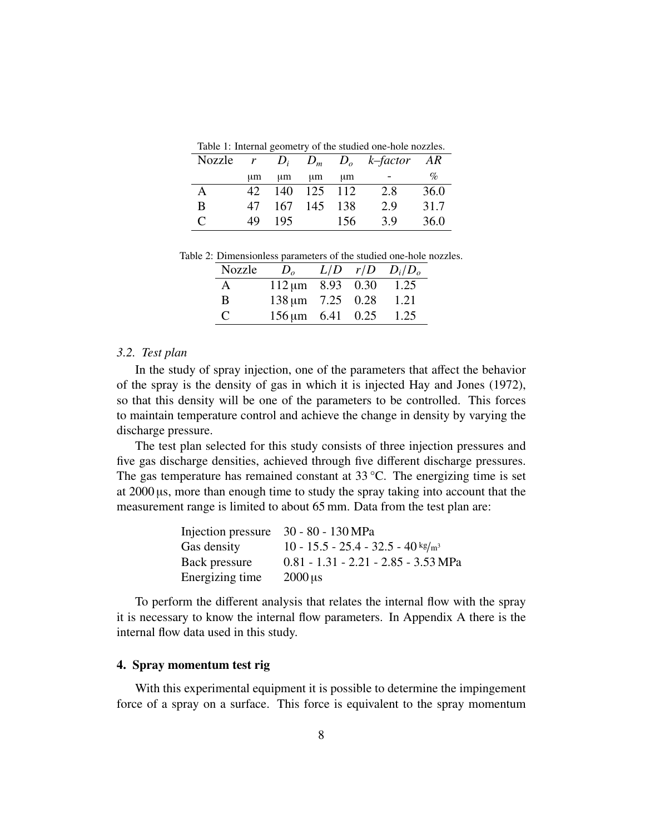<span id="page-8-0"></span>Table 1: Internal geometry of the studied one-hole nozzles.

|              |     |                |             |     | Nozzle r $D_i$ $D_m$ $D_o$ k-factor AR |      |
|--------------|-----|----------------|-------------|-----|----------------------------------------|------|
|              | μm  | um             | $\mu$ m     | μm  |                                        | $\%$ |
| $\mathsf{A}$ | 42. |                | 140 125 112 |     | 2.8                                    | 36.0 |
| B            |     | 47 167 145 138 |             |     | 2.9                                    | 31.7 |
| C            | 49  | 195            |             | 156 | 3.9                                    | 36.0 |
|              |     |                |             |     |                                        |      |

Table 2: Dimensionless parameters of the studied one-hole nozzles.

<span id="page-8-1"></span>

| Nozzle | $D_{o}$                            |  | $L/D$ $r/D$ $D_i/D_o$ |
|--------|------------------------------------|--|-----------------------|
| A      | $112 \,\mu m$ 8.93 0.30            |  | 1.25                  |
| B      | $138 \,\mathrm{\upmu m}$ 7.25 0.28 |  | 1.21                  |
| C      | $156 \,\mathrm{\upmu m}$ 6.41 0.25 |  | 1.25                  |
|        |                                    |  |                       |

#### *3.2. Test plan*

In the study of spray injection, one of the parameters that affect the behavior of the spray is the density of gas in which it is injected [Hay and Jones](#page-30-0) [\(1972\)](#page-30-0), so that this density will be one of the parameters to be controlled. This forces to maintain temperature control and achieve the change in density by varying the discharge pressure.

The test plan selected for this study consists of three injection pressures and five gas discharge densities, achieved through five different discharge pressures. The gas temperature has remained constant at  $33^{\circ}$ C. The energizing time is set at 2000 µs, more than enough time to study the spray taking into account that the measurement range is limited to about 65 mm. Data from the test plan are:

|                 | Injection pressure 30 - 80 - 130 MPa                        |
|-----------------|-------------------------------------------------------------|
| Gas density     | 10 - 15.5 - 25.4 - 32.5 - $40 \frac{\text{kg}}{\text{m}^3}$ |
| Back pressure   | $0.81 - 1.31 - 2.21 - 2.85 - 3.53$ MPa                      |
| Energizing time | $2000 \,\mu s$                                              |

To perform the different analysis that relates the internal flow with the spray it is necessary to know the internal flow parameters. In [Appendix A](#page-32-8) there is the internal flow data used in this study.

# 4. Spray momentum test rig

With this experimental equipment it is possible to determine the impingement force of a spray on a surface. This force is equivalent to the spray momentum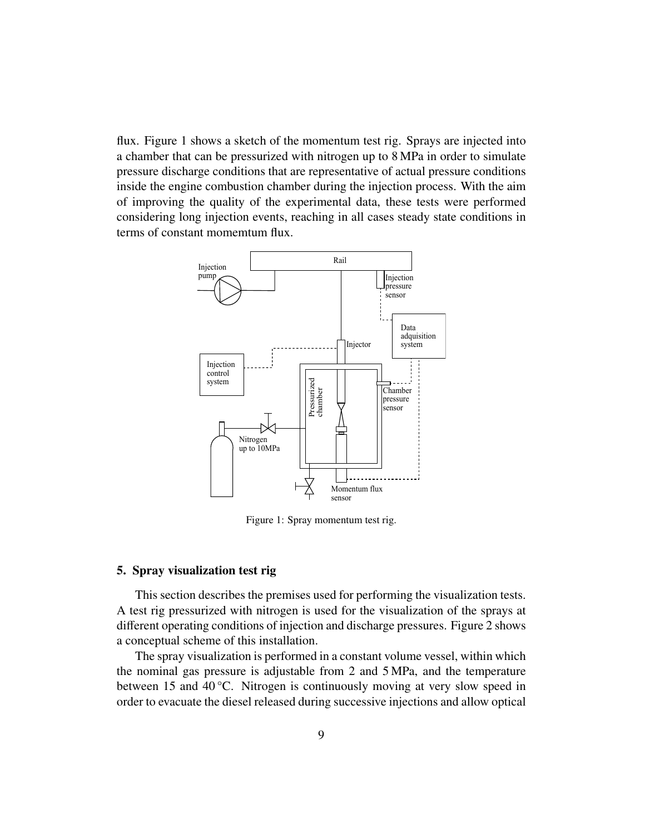flux. Figure [1](#page-9-1) shows a sketch of the momentum test rig. Sprays are injected into a chamber that can be pressurized with nitrogen up to 8 MPa in order to simulate pressure discharge conditions that are representative of actual pressure conditions inside the engine combustion chamber during the injection process. With the aim of improving the quality of the experimental data, these tests were performed considering long injection events, reaching in all cases steady state conditions in terms of constant momemtum flux.



<span id="page-9-1"></span>Figure 1: Spray momentum test rig.

#### <span id="page-9-0"></span>5. Spray visualization test rig

This section describes the premises used for performing the visualization tests. A test rig pressurized with nitrogen is used for the visualization of the sprays at different operating conditions of injection and discharge pressures. Figure [2](#page-10-0) shows a conceptual scheme of this installation.

The spray visualization is performed in a constant volume vessel, within which the nominal gas pressure is adjustable from 2 and 5 MPa, and the temperature between 15 and 40 °C. Nitrogen is continuously moving at very slow speed in order to evacuate the diesel released during successive injections and allow optical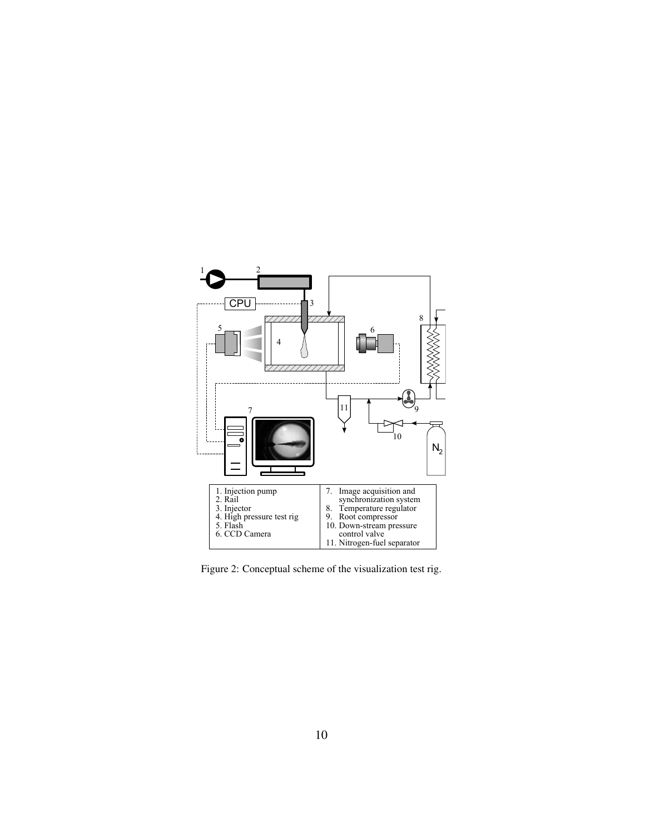

<span id="page-10-0"></span>Figure 2: Conceptual scheme of the visualization test rig.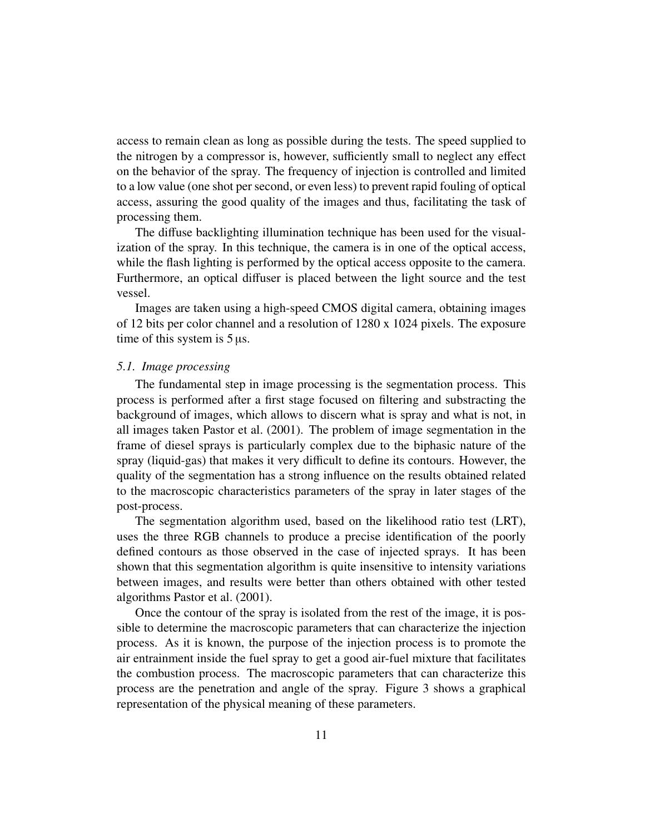access to remain clean as long as possible during the tests. The speed supplied to the nitrogen by a compressor is, however, sufficiently small to neglect any effect on the behavior of the spray. The frequency of injection is controlled and limited to a low value (one shot per second, or even less) to prevent rapid fouling of optical access, assuring the good quality of the images and thus, facilitating the task of processing them.

The diffuse backlighting illumination technique has been used for the visualization of the spray. In this technique, the camera is in one of the optical access, while the flash lighting is performed by the optical access opposite to the camera. Furthermore, an optical diffuser is placed between the light source and the test vessel.

Images are taken using a high-speed CMOS digital camera, obtaining images of 12 bits per color channel and a resolution of 1280 x 1024 pixels. The exposure time of this system is  $5 \mu s$ .

# <span id="page-11-0"></span>*5.1. Image processing*

The fundamental step in image processing is the segmentation process. This process is performed after a first stage focused on filtering and substracting the background of images, which allows to discern what is spray and what is not, in all images taken [Pastor et al.](#page-31-7) [\(2001\)](#page-31-7). The problem of image segmentation in the frame of diesel sprays is particularly complex due to the biphasic nature of the spray (liquid-gas) that makes it very difficult to define its contours. However, the quality of the segmentation has a strong influence on the results obtained related to the macroscopic characteristics parameters of the spray in later stages of the post-process.

The segmentation algorithm used, based on the likelihood ratio test (LRT), uses the three RGB channels to produce a precise identification of the poorly defined contours as those observed in the case of injected sprays. It has been shown that this segmentation algorithm is quite insensitive to intensity variations between images, and results were better than others obtained with other tested algorithms [Pastor et al.](#page-31-7) [\(2001\)](#page-31-7).

Once the contour of the spray is isolated from the rest of the image, it is possible to determine the macroscopic parameters that can characterize the injection process. As it is known, the purpose of the injection process is to promote the air entrainment inside the fuel spray to get a good air-fuel mixture that facilitates the combustion process. The macroscopic parameters that can characterize this process are the penetration and angle of the spray. Figure [3](#page-12-1) shows a graphical representation of the physical meaning of these parameters.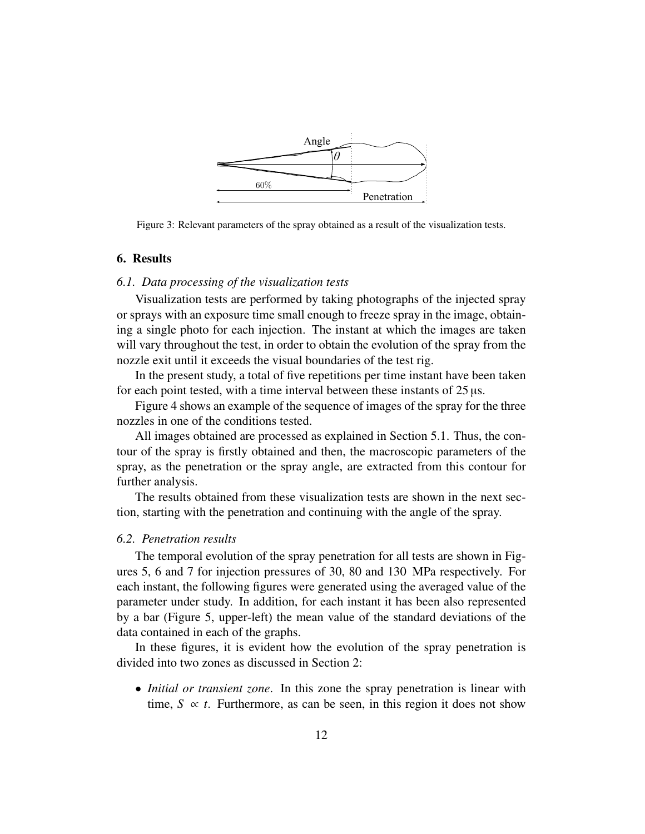

<span id="page-12-1"></span>Figure 3: Relevant parameters of the spray obtained as a result of the visualization tests.

## <span id="page-12-0"></span>6. Results

#### *6.1. Data processing of the visualization tests*

Visualization tests are performed by taking photographs of the injected spray or sprays with an exposure time small enough to freeze spray in the image, obtaining a single photo for each injection. The instant at which the images are taken will vary throughout the test, in order to obtain the evolution of the spray from the nozzle exit until it exceeds the visual boundaries of the test rig.

In the present study, a total of five repetitions per time instant have been taken for each point tested, with a time interval between these instants of  $25 \mu s$ .

Figure [4](#page-13-0) shows an example of the sequence of images of the spray for the three nozzles in one of the conditions tested.

All images obtained are processed as explained in Section [5.1.](#page-11-0) Thus, the contour of the spray is firstly obtained and then, the macroscopic parameters of the spray, as the penetration or the spray angle, are extracted from this contour for further analysis.

The results obtained from these visualization tests are shown in the next section, starting with the penetration and continuing with the angle of the spray.

# *6.2. Penetration results*

The temporal evolution of the spray penetration for all tests are shown in Figures [5,](#page-13-1) [6](#page-14-0) and [7](#page-14-1) for injection pressures of 30, 80 and 130 MPa respectively. For each instant, the following figures were generated using the averaged value of the parameter under study. In addition, for each instant it has been also represented by a bar (Figure [5,](#page-13-1) upper-left) the mean value of the standard deviations of the data contained in each of the graphs.

In these figures, it is evident how the evolution of the spray penetration is divided into two zones as discussed in Section [2:](#page-5-0)

• *Initial or transient zone*. In this zone the spray penetration is linear with time,  $S \propto t$ . Furthermore, as can be seen, in this region it does not show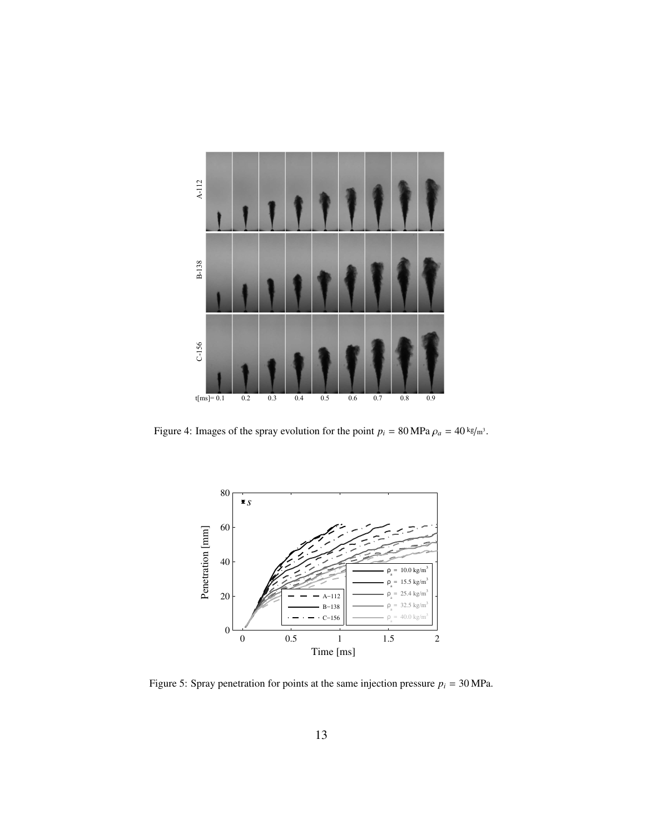

<span id="page-13-0"></span>Figure 4: Images of the spray evolution for the point  $p_i = 80 \text{ MPa } \rho_a = 40 \text{ kg/m}^3$ .



<span id="page-13-1"></span>Figure 5: Spray penetration for points at the same injection pressure  $p_i = 30 \text{ MPa}$ .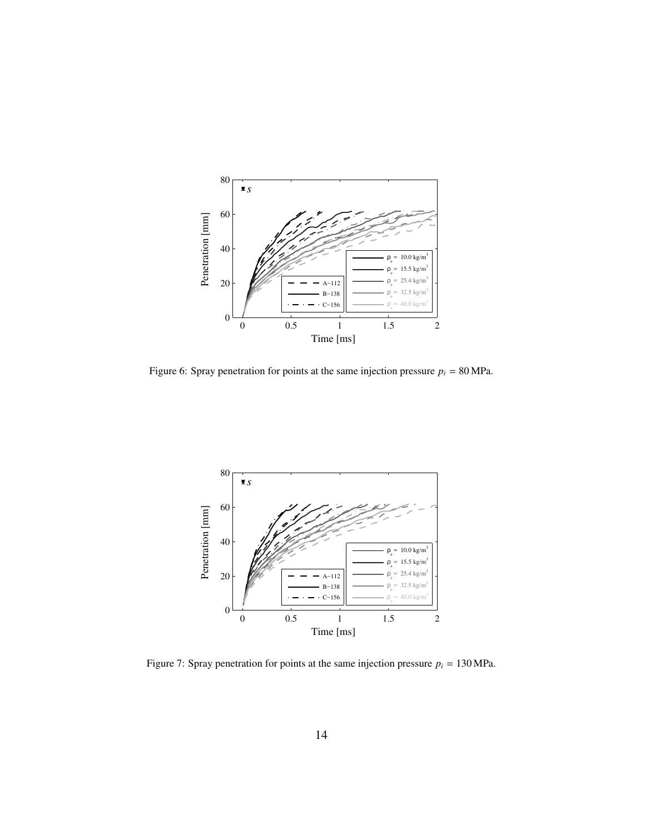

<span id="page-14-0"></span>Figure 6: Spray penetration for points at the same injection pressure  $p_i = 80 \text{ MPa}$ .



<span id="page-14-1"></span>Figure 7: Spray penetration for points at the same injection pressure  $p_i = 130 \text{ MPa}$ .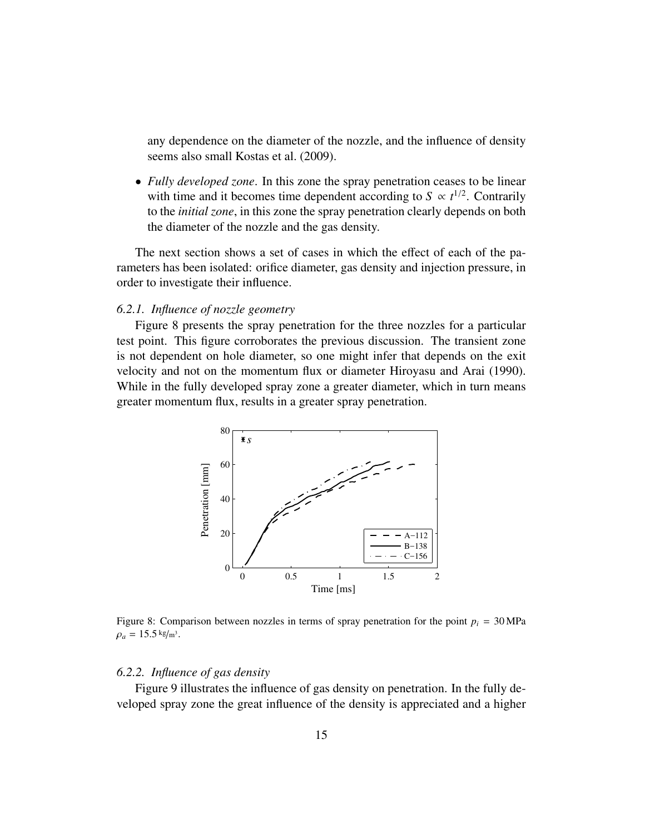any dependence on the diameter of the nozzle, and the influence of density seems also small [Kostas et al.](#page-30-5) [\(2009\)](#page-30-5).

• *Fully developed zone*. In this zone the spray penetration ceases to be linear with time and it becomes time dependent according to  $S \propto t^{1/2}$ . Contrarily to the *initial zone*, in this zone the spray penetration clearly depends on both the diameter of the nozzle and the gas density.

The next section shows a set of cases in which the effect of each of the parameters has been isolated: orifice diameter, gas density and injection pressure, in order to investigate their influence.

# *6.2.1. Influence of nozzle geometry*

Figure [8](#page-15-0) presents the spray penetration for the three nozzles for a particular test point. This figure corroborates the previous discussion. The transient zone is not dependent on hole diameter, so one might infer that depends on the exit velocity and not on the momentum flux or diameter [Hiroyasu and Arai](#page-30-1) [\(1990\)](#page-30-1). While in the fully developed spray zone a greater diameter, which in turn means greater momentum flux, results in a greater spray penetration.



<span id="page-15-0"></span>Figure 8: Comparison between nozzles in terms of spray penetration for the point  $p_i = 30 \text{ MPa}$  $\rho_a = 15.5 \,\mathrm{kg/m^3}.$ 

# *6.2.2. Influence of gas density*

Figure [9](#page-16-0) illustrates the influence of gas density on penetration. In the fully developed spray zone the great influence of the density is appreciated and a higher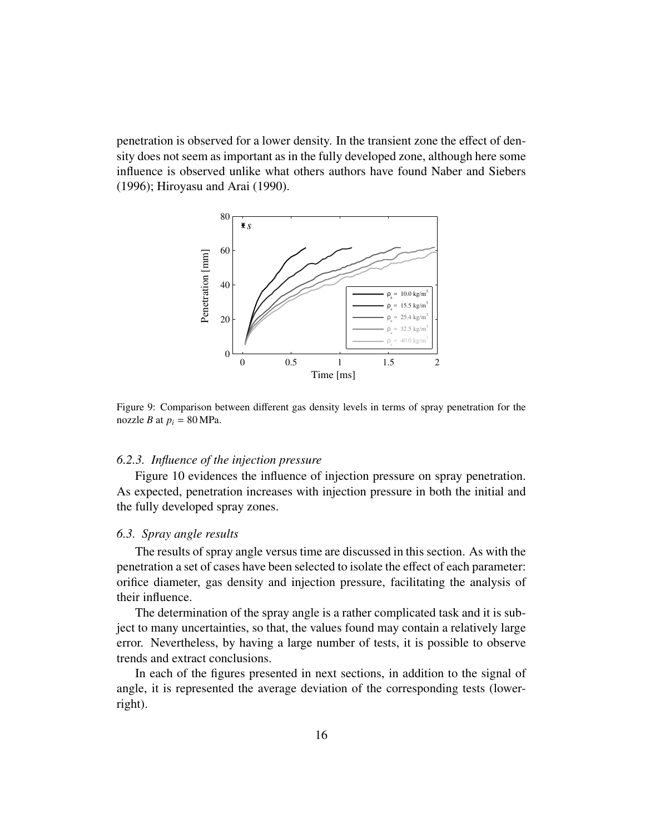penetration is observed for a lower density. In the transient zone the effect of density does not seem as important as in the fully developed zone, although here some influence is observed unlike what others authors have found [Naber and Siebers](#page-31-4) [\(1996\)](#page-31-4); [Hiroyasu and Arai](#page-30-1) [\(1990\)](#page-30-1).



<span id="page-16-0"></span>Figure 9: Comparison between different gas density levels in terms of spray penetration for the nozzle *B* at  $p_i = 80 \text{ MPa}$ .

# *6.2.3. Influence of the injection pressure*

Figure [10](#page-17-1) evidences the influence of injection pressure on spray penetration. As expected, penetration increases with injection pressure in both the initial and the fully developed spray zones.

#### *6.3. Spray angle results*

The results of spray angle versus time are discussed in this section. As with the penetration a set of cases have been selected to isolate the effect of each parameter: orifice diameter, gas density and injection pressure, facilitating the analysis of their influence.

The determination of the spray angle is a rather complicated task and it is subject to many uncertainties, so that, the values found may contain a relatively large error. Nevertheless, by having a large number of tests, it is possible to observe trends and extract conclusions.

In each of the figures presented in next sections, in addition to the signal of angle, it is represented the average deviation of the corresponding tests (lowerright).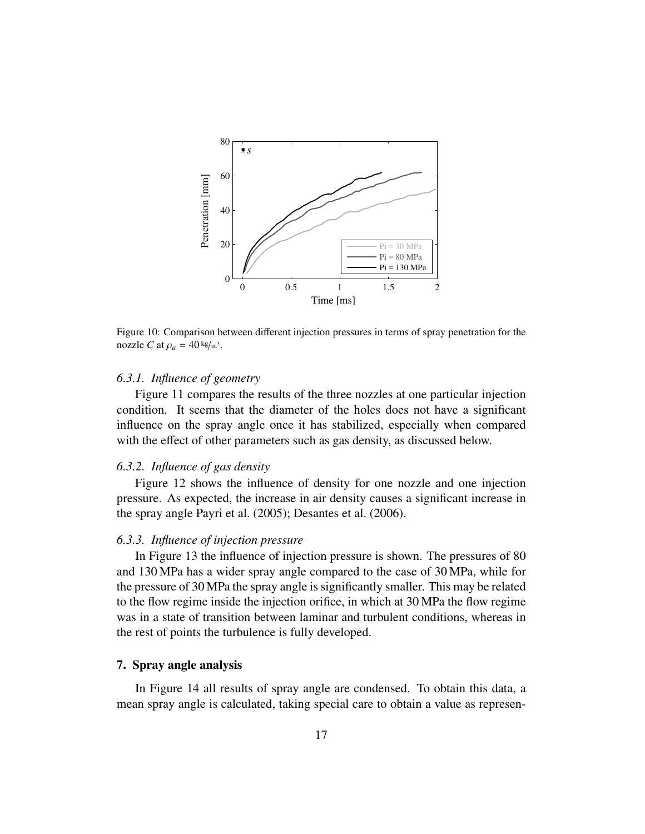

<span id="page-17-1"></span>Figure 10: Comparison between different injection pressures in terms of spray penetration for the nozzle *C* at  $\rho_a = 40 \text{ kg/m}^3$ .

## *6.3.1. Influence of geometry*

Figure [11](#page-18-0) compares the results of the three nozzles at one particular injection condition. It seems that the diameter of the holes does not have a significant influence on the spray angle once it has stabilized, especially when compared with the effect of other parameters such as gas density, as discussed below.

# *6.3.2. Influence of gas density*

Figure [12](#page-18-1) shows the influence of density for one nozzle and one injection pressure. As expected, the increase in air density causes a significant increase in the spray angle [Payri et al.](#page-32-5) [\(2005\)](#page-32-5); [Desantes et al.](#page-30-3) [\(2006\)](#page-30-3).

# *6.3.3. Influence of injection pressure*

In Figure [13](#page-19-0) the influence of injection pressure is shown. The pressures of 80 and 130 MPa has a wider spray angle compared to the case of 30 MPa, while for the pressure of 30 MPa the spray angle is significantly smaller. This may be related to the flow regime inside the injection orifice, in which at 30 MPa the flow regime was in a state of transition between laminar and turbulent conditions, whereas in the rest of points the turbulence is fully developed.

# <span id="page-17-0"></span>7. Spray angle analysis

In Figure [14](#page-19-1) all results of spray angle are condensed. To obtain this data, a mean spray angle is calculated, taking special care to obtain a value as represen-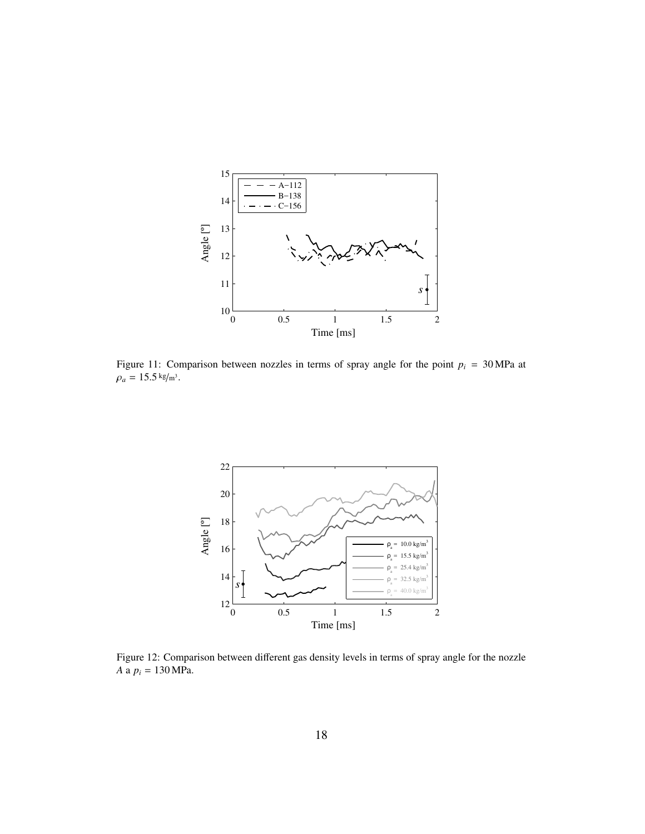

<span id="page-18-0"></span>Figure 11: Comparison between nozzles in terms of spray angle for the point  $p_i = 30 \text{ MPa}$  at  $\rho_a = 15.5 \,\mathrm{kg/m^3}.$ 



<span id="page-18-1"></span>Figure 12: Comparison between different gas density levels in terms of spray angle for the nozzle *A* a  $p_i = 130 \text{ MPa}$ .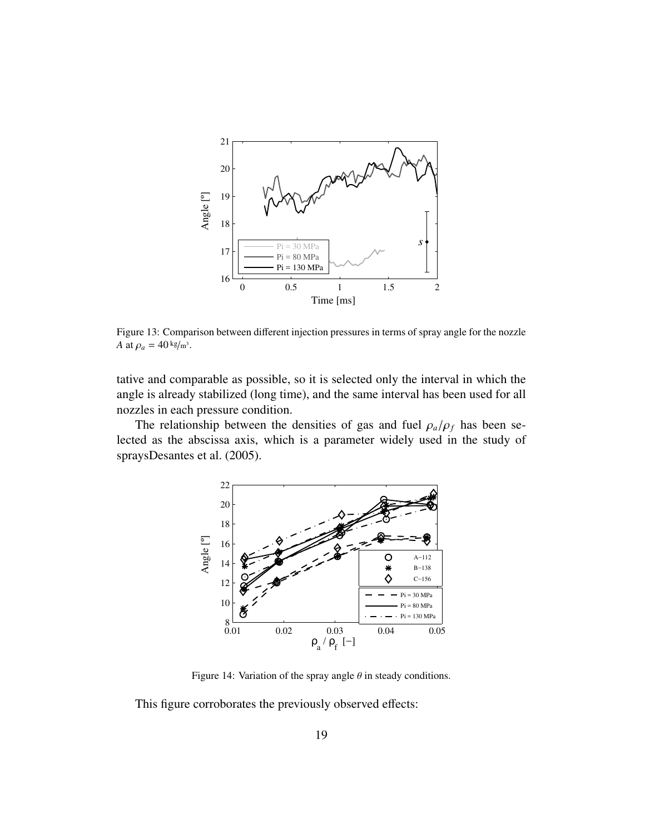

<span id="page-19-0"></span>Figure 13: Comparison between different injection pressures in terms of spray angle for the nozzle *A* at  $\rho_a = 40 \text{ kg/m}^3$ .

tative and comparable as possible, so it is selected only the interval in which the angle is already stabilized (long time), and the same interval has been used for all nozzles in each pressure condition.

The relationship between the densities of gas and fuel  $\rho_a/\rho_f$  has been selected as the abscissa axis, which is a parameter widely used in the study of spray[sDesantes et al.](#page-30-2) [\(2005\)](#page-30-2).



<span id="page-19-1"></span>Figure 14: Variation of the spray angle  $\theta$  in steady conditions.

This figure corroborates the previously observed effects: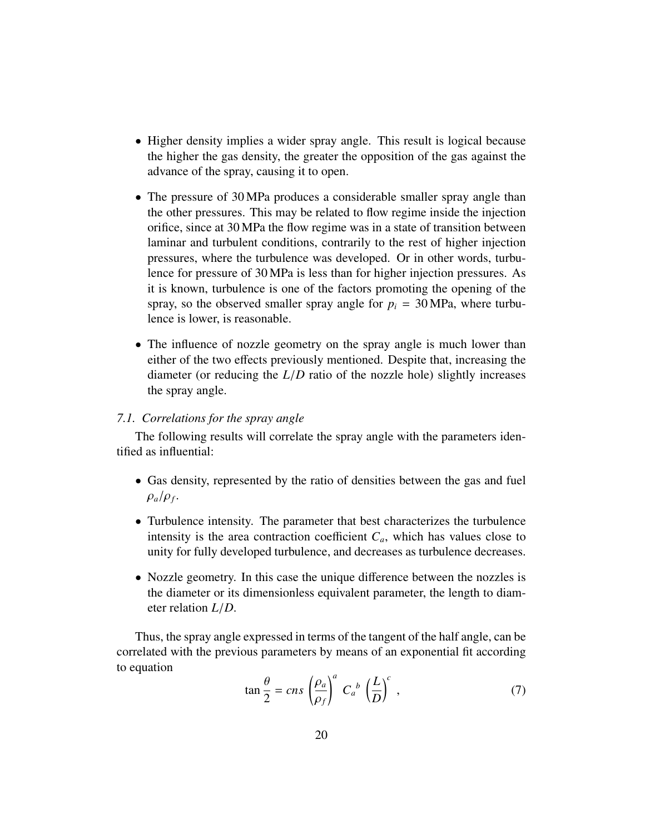- Higher density implies a wider spray angle. This result is logical because the higher the gas density, the greater the opposition of the gas against the advance of the spray, causing it to open.
- The pressure of 30 MPa produces a considerable smaller spray angle than the other pressures. This may be related to flow regime inside the injection orifice, since at 30 MPa the flow regime was in a state of transition between laminar and turbulent conditions, contrarily to the rest of higher injection pressures, where the turbulence was developed. Or in other words, turbulence for pressure of 30 MPa is less than for higher injection pressures. As it is known, turbulence is one of the factors promoting the opening of the spray, so the observed smaller spray angle for  $p_i = 30 \text{ MPa}$ , where turbulence is lower, is reasonable.
- The influence of nozzle geometry on the spray angle is much lower than either of the two effects previously mentioned. Despite that, increasing the diameter (or reducing the *<sup>L</sup>*/*<sup>D</sup>* ratio of the nozzle hole) slightly increases the spray angle.

# *7.1. Correlations for the spray angle*

The following results will correlate the spray angle with the parameters identified as influential:

- Gas density, represented by the ratio of densities between the gas and fuel  $\rho_a/\rho_f$ .
- Turbulence intensity. The parameter that best characterizes the turbulence intensity is the area contraction coefficient  $C_a$ , which has values close to unity for fully developed turbulence, and decreases as turbulence decreases.
- Nozzle geometry. In this case the unique difference between the nozzles is the diameter or its dimensionless equivalent parameter, the length to diameter relation *<sup>L</sup>*/*D*.

Thus, the spray angle expressed in terms of the tangent of the half angle, can be correlated with the previous parameters by means of an exponential fit according to equation

<span id="page-20-0"></span>
$$
\tan\frac{\theta}{2} = \cos\left(\frac{\rho_a}{\rho_f}\right)^a C_a{}^b \left(\frac{L}{D}\right)^c ,\qquad (7)
$$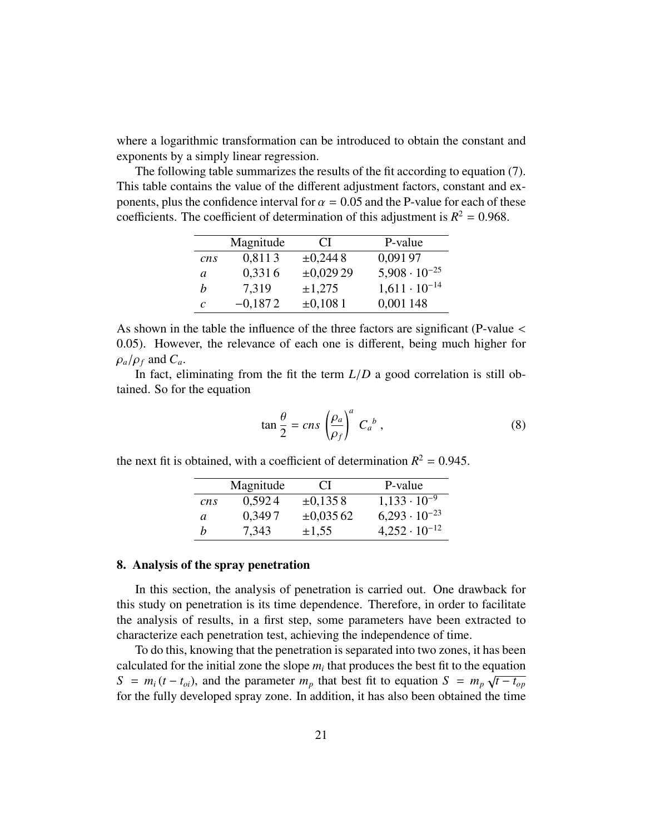where a logarithmic transformation can be introduced to obtain the constant and exponents by a simply linear regression.

The following table summarizes the results of the fit according to equation [\(7\)](#page-20-0). This table contains the value of the different adjustment factors, constant and exponents, plus the confidence interval for  $\alpha = 0.05$  and the P-value for each of these coefficients. The coefficient of determination of this adjustment is  $R^2 = 0.968$ .

|               | Magnitude | C.I           | P-value                |
|---------------|-----------|---------------|------------------------|
| cns           | 0,8113    | $\pm 0,2448$  | 0,09197                |
| a             | 0,3316    | $\pm 0.02929$ | $5,908 \cdot 10^{-25}$ |
| h             | 7,319     | ±1,275        | $1,611 \cdot 10^{-14}$ |
| $\mathcal{C}$ | $-0,1872$ | $\pm 0,1081$  | 0,001 148              |
|               |           |               |                        |

As shown in the table the influence of the three factors are significant (P-value < <sup>0</sup>.05). However, the relevance of each one is different, being much higher for  $\rho_a/\rho_f$  and  $C_a$ .

In fact, eliminating from the fit the term *<sup>L</sup>*/*<sup>D</sup>* a good correlation is still obtained. So for the equation

$$
\tan\frac{\theta}{2} = \cos\left(\frac{\rho_a}{\rho_f}\right)^a C_a{}^b ,\qquad (8)
$$

the next fit is obtained, with a coefficient of determination  $R^2 = 0.945$ .

|     | Magnitude | CT.           | P-value                |
|-----|-----------|---------------|------------------------|
| cns | 0.5924    | $\pm 0.1358$  | $1,133 \cdot 10^{-9}$  |
| a   | 0,3497    | $\pm 0.03562$ | $6,293 \cdot 10^{-23}$ |
| h   | 7.343     | $\pm 1,55$    | $4,252 \cdot 10^{-12}$ |
|     |           |               |                        |

#### <span id="page-21-0"></span>8. Analysis of the spray penetration

In this section, the analysis of penetration is carried out. One drawback for this study on penetration is its time dependence. Therefore, in order to facilitate the analysis of results, in a first step, some parameters have been extracted to characterize each penetration test, achieving the independence of time.

To do this, knowing that the penetration is separated into two zones, it has been calculated for the initial zone the slope  $m_i$  that produces the best fit to the equation  $S = m_i (t - t_{oi})$ , and the parameter  $m_p$  that best fit to equation  $S = m_p \sqrt{t - t_{op}}$ for the fully developed spray zone. In addition, it has also been obtained the time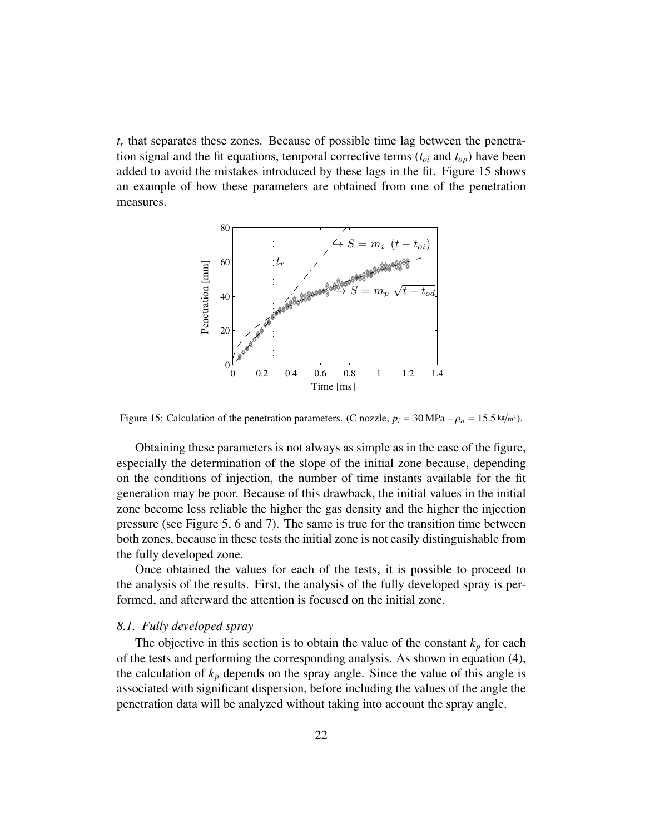*tr* that separates these zones. Because of possible time lag between the penetration signal and the fit equations, temporal corrective terms (*toi* and *top*) have been added to avoid the mistakes introduced by these lags in the fit. Figure [15](#page-22-0) shows an example of how these parameters are obtained from one of the penetration measures.



<span id="page-22-0"></span>Figure 15: Calculation of the penetration parameters. (C nozzle,  $p_i = 30 \text{ MPa} - \rho_a = 15.5 \text{ kg/m}^3$ ).

Obtaining these parameters is not always as simple as in the case of the figure, especially the determination of the slope of the initial zone because, depending on the conditions of injection, the number of time instants available for the fit generation may be poor. Because of this drawback, the initial values in the initial zone become less reliable the higher the gas density and the higher the injection pressure (see Figure [5,](#page-13-1) [6](#page-14-0) and [7\)](#page-14-1). The same is true for the transition time between both zones, because in these tests the initial zone is not easily distinguishable from the fully developed zone.

Once obtained the values for each of the tests, it is possible to proceed to the analysis of the results. First, the analysis of the fully developed spray is performed, and afterward the attention is focused on the initial zone.

#### *8.1. Fully developed spray*

The objective in this section is to obtain the value of the constant  $k_p$  for each of the tests and performing the corresponding analysis. As shown in equation [\(4\)](#page-6-0), the calculation of  $k_p$  depends on the spray angle. Since the value of this angle is associated with significant dispersion, before including the values of the angle the penetration data will be analyzed without taking into account the spray angle.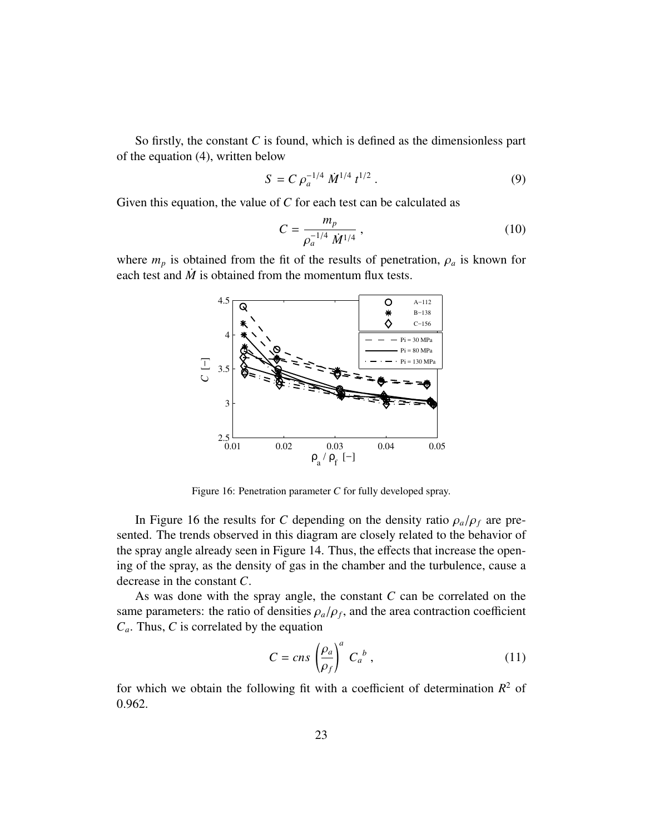So firstly, the constant *C* is found, which is defined as the dimensionless part of the equation [\(4\)](#page-6-0), written below

$$
S = C \rho_a^{-1/4} \dot{M}^{1/4} t^{1/2} . \tag{9}
$$

Given this equation, the value of *C* for each test can be calculated as

$$
C = \frac{m_p}{\rho_a^{-1/4} \dot{M}^{1/4}} , \qquad (10)
$$

where  $m_p$  is obtained from the fit of the results of penetration,  $\rho_a$  is known for each test and  $\dot{M}$  is obtained from the momentum flux tests each test and  $\dot{M}$  is obtained from the momentum flux tests.



<span id="page-23-0"></span>Figure 16: Penetration parameter *C* for fully developed spray.

In Figure [16](#page-23-0) the results for *C* depending on the density ratio  $\rho_a/\rho_f$  are presented. The trends observed in this diagram are closely related to the behavior of the spray angle already seen in Figure [14.](#page-19-1) Thus, the effects that increase the opening of the spray, as the density of gas in the chamber and the turbulence, cause a decrease in the constant *C*.

As was done with the spray angle, the constant *C* can be correlated on the same parameters: the ratio of densities  $\rho_a/\rho_f$ , and the area contraction coefficient  $C$ . Thus  $C$  is correlated by the equation  $C_a$ . Thus, *C* is correlated by the equation

$$
C = cns \left(\frac{\rho_a}{\rho_f}\right)^a C_a^b , \qquad (11)
$$

for which we obtain the following fit with a coefficient of determination  $R^2$  of <sup>0</sup>.962.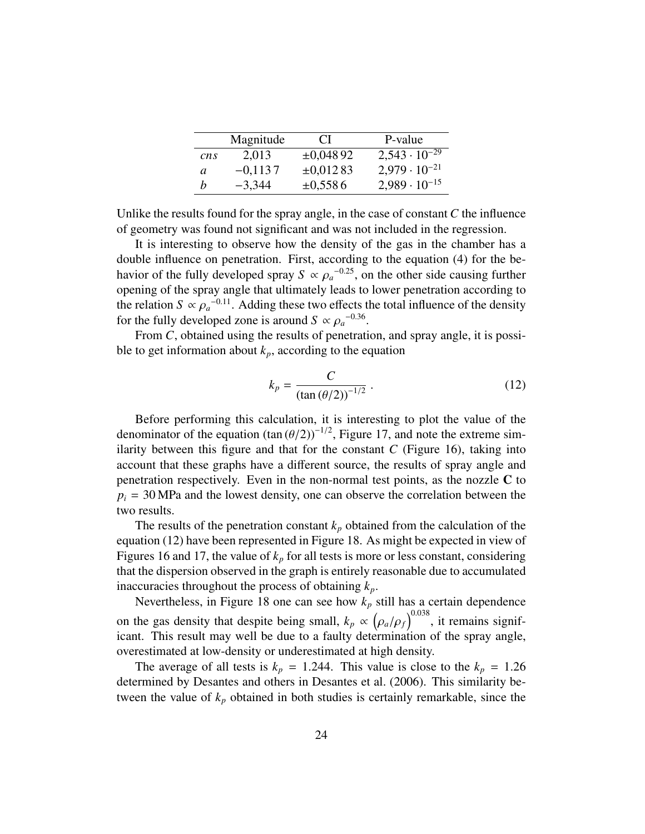|            | Magnitude | C.I           | P-value                |
|------------|-----------|---------------|------------------------|
| <i>cns</i> | 2,013     | $\pm 0.04892$ | $2,543 \cdot 10^{-29}$ |
| a          | $-0,1137$ | $\pm 0.01283$ | $2.979 \cdot 10^{-21}$ |
| h          | $-3,344$  | $\pm 0.5586$  | $2.989 \cdot 10^{-15}$ |
|            |           |               |                        |

Unlike the results found for the spray angle, in the case of constant *C* the influence of geometry was found not significant and was not included in the regression.

It is interesting to observe how the density of the gas in the chamber has a double influence on penetration. First, according to the equation [\(4\)](#page-6-0) for the behavior of the fully developed spray  $S \propto \rho_a^{-0.25}$ , on the other side causing further opening of the spray angle that ultimately leads to lower penetration according to the relation *S*  $\propto \rho_a^{-0.11}$ . Adding these two effects the total influence of the density for the fully developed zone is around *S*  $\propto \rho_a^{-0.36}$ for the fully developed zone is around  $S \propto \rho_a^{-0.36}$ .<br>From *C* obtained using the results of penetration

From *C*, obtained using the results of penetration, and spray angle, it is possible to get information about  $k_p$ , according to the equation

<span id="page-24-0"></span>
$$
k_p = \frac{C}{(\tan (\theta/2))^{-1/2}} \,. \tag{12}
$$

Before performing this calculation, it is interesting to plot the value of the denominator of the equation  $(\tan (\theta/2))^{-1/2}$ , Figure [17,](#page-25-0) and note the extreme sim-<br>ilarity between this figure and that for the constant C (Figure 16), taking into ilarity between this figure and that for the constant  $C$  (Figure [16\)](#page-23-0), taking into account that these graphs have a different source, the results of spray angle and penetration respectively. Even in the non-normal test points, as the nozzle C to  $p_i = 30 \text{ MPa}$  and the lowest density, one can observe the correlation between the two results.

The results of the penetration constant  $k_p$  obtained from the calculation of the equation [\(12\)](#page-24-0) have been represented in Figure [18.](#page-25-1) As might be expected in view of Figures [16](#page-23-0) and [17,](#page-25-0) the value of  $k_p$  for all tests is more or less constant, considering that the dispersion observed in the graph is entirely reasonable due to accumulated inaccuracies throughout the process of obtaining *kp*.

Nevertheless, in Figure [18](#page-25-1) one can see how  $k_p$  still has a certain dependence on the gas density that despite being small,  $k_p \propto ($ ρ*<sup>a</sup>*/ρ*<sup>f</sup>*  $\int_{0.038}^{0.038}$ , it remains significant. This result may well be due to a faulty determination of the spray angle, overestimated at low-density or underestimated at high density.

The average of all tests is  $k_p = 1.244$ . This value is close to the  $k_p = 1.26$ determined by Desantes and others in [Desantes et al.](#page-30-3) [\(2006\)](#page-30-3). This similarity between the value of  $k_p$  obtained in both studies is certainly remarkable, since the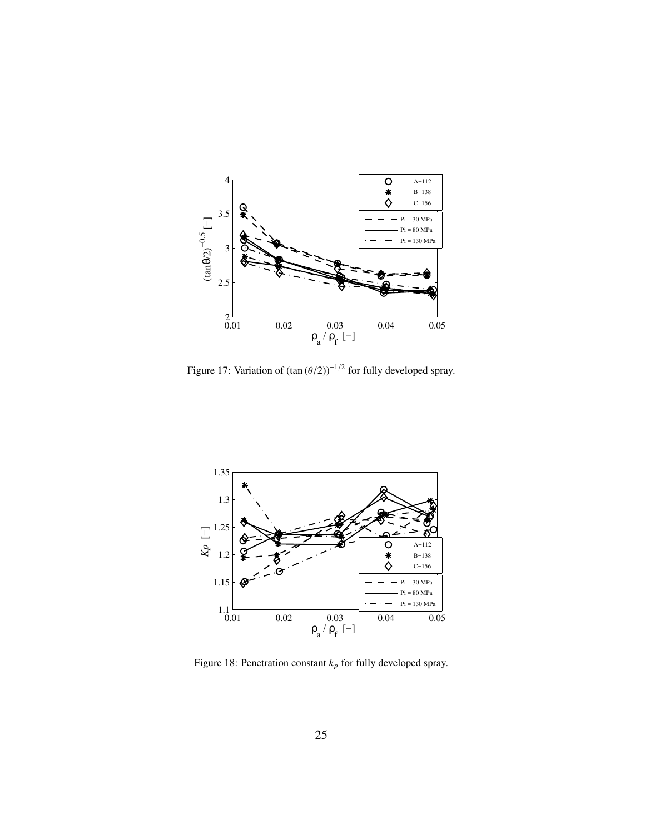

<span id="page-25-0"></span>Figure 17: Variation of  $(\tan(\theta/2))^{-1/2}$  for fully developed spray.



<span id="page-25-1"></span>Figure 18: Penetration constant  $k_p$  for fully developed spray.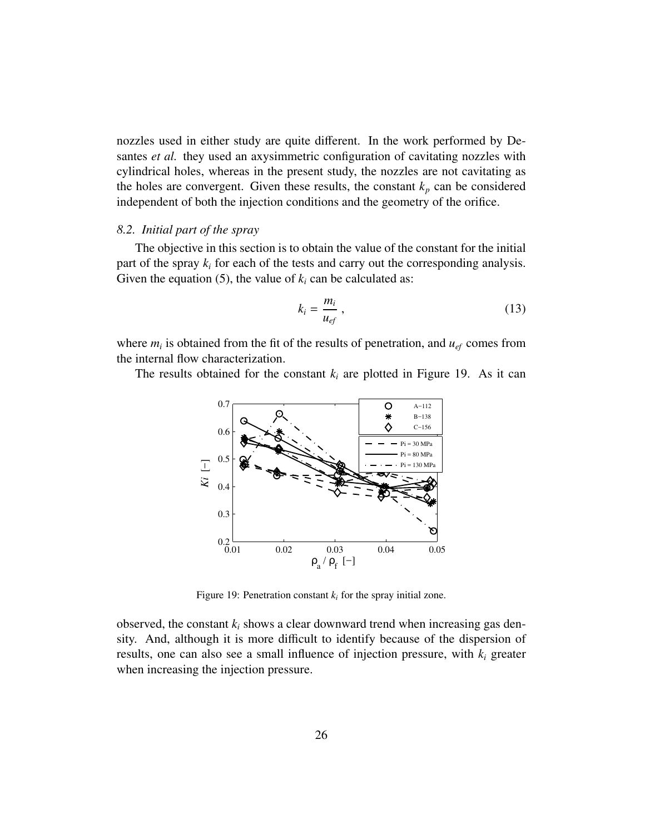nozzles used in either study are quite different. In the work performed by Desantes *et al.* they used an axysimmetric configuration of cavitating nozzles with cylindrical holes, whereas in the present study, the nozzles are not cavitating as the holes are convergent. Given these results, the constant  $k_p$  can be considered independent of both the injection conditions and the geometry of the orifice.

## *8.2. Initial part of the spray*

The objective in this section is to obtain the value of the constant for the initial part of the spray  $k_i$  for each of the tests and carry out the corresponding analysis. Given the equation [\(5\)](#page-7-1), the value of  $k_i$  can be calculated as:

$$
k_i = \frac{m_i}{u_{ef}}\,,\tag{13}
$$

where  $m_i$  is obtained from the fit of the results of penetration, and  $u_{ef}$  comes from the internal flow characterization.

The results obtained for the constant  $k_i$  are plotted in Figure [19.](#page-26-0) As it can



<span id="page-26-0"></span>Figure 19: Penetration constant  $k_i$  for the spray initial zone.

observed, the constant  $k_i$  shows a clear downward trend when increasing gas density. And, although it is more difficult to identify because of the dispersion of results, one can also see a small influence of injection pressure, with *k<sup>i</sup>* greater when increasing the injection pressure.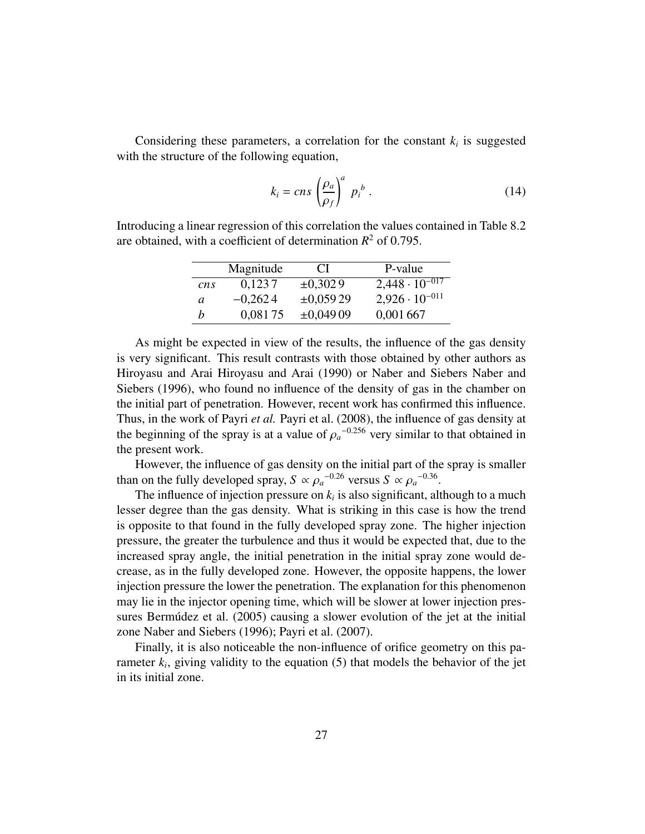Considering these parameters, a correlation for the constant  $k_i$  is suggested with the structure of the following equation,

<span id="page-27-0"></span>
$$
k_i = cns \left(\frac{\rho_a}{\rho_f}\right)^a p_i^b . \tag{14}
$$

Introducing a linear regression of this correlation the values contained in Table [8.2](#page-27-0) are obtained, with a coefficient of determination  $R^2$  of 0.795.

|     | Magnitude | CI            | P-value                 |
|-----|-----------|---------------|-------------------------|
| cns | 0,1237    | $\pm 0,3029$  | $2,448 \cdot 10^{-017}$ |
| a   | $-0,2624$ | $\pm 0.05929$ | $2,926 \cdot 10^{-011}$ |
| h   | 0,08175   | $\pm 0.04909$ | 0,001 667               |
|     |           |               |                         |

As might be expected in view of the results, the influence of the gas density is very significant. This result contrasts with those obtained by other authors as Hiroyasu and Arai [Hiroyasu and Arai](#page-30-1) [\(1990\)](#page-30-1) or Naber and Siebers [Naber and](#page-31-4) [Siebers](#page-31-4) [\(1996\)](#page-31-4), who found no influence of the density of gas in the chamber on the initial part of penetration. However, recent work has confirmed this influence. Thus, in the work of Payri *et al.* [Payri et al.](#page-31-8) [\(2008\)](#page-31-8), the influence of gas density at the beginning of the spray is at a value of  $\rho_a^{-0.256}$  very similar to that obtained in the present work the present work.

However, the influence of gas density on the initial part of the spray is smaller than on the fully developed spray,  $S \propto \rho_a^{-0.26}$  versus  $S \propto \rho_a^{-0.36}$ .<br>The influence of injection pressure on *k*, is also significant all

The influence of injection pressure on  $k_i$  is also significant, although to a much lesser degree than the gas density. What is striking in this case is how the trend is opposite to that found in the fully developed spray zone. The higher injection pressure, the greater the turbulence and thus it would be expected that, due to the increased spray angle, the initial penetration in the initial spray zone would decrease, as in the fully developed zone. However, the opposite happens, the lower injection pressure the lower the penetration. The explanation for this phenomenon may lie in the injector opening time, which will be slower at lower injection pressures [Bermúdez et al.](#page-30-6) [\(2005\)](#page-30-6) causing a slower evolution of the jet at the initial zone [Naber and Siebers](#page-31-4) [\(1996\)](#page-31-4); [Payri et al.](#page-31-5) [\(2007\)](#page-31-5).

Finally, it is also noticeable the non-influence of orifice geometry on this parameter  $k_i$ , giving validity to the equation  $(5)$  that models the behavior of the jet in its initial zone.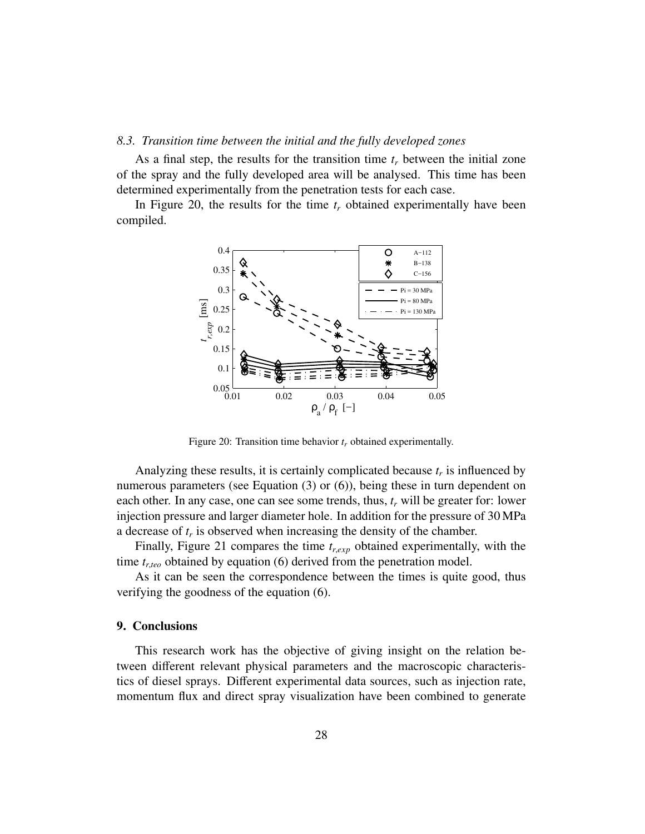# *8.3. Transition time between the initial and the fully developed zones*

As a final step, the results for the transition time *t<sup>r</sup>* between the initial zone of the spray and the fully developed area will be analysed. This time has been determined experimentally from the penetration tests for each case.

In Figure [20,](#page-28-0) the results for the time  $t_r$  obtained experimentally have been compiled.



<span id="page-28-0"></span>Figure 20: Transition time behavior *t<sup>r</sup>* obtained experimentally.

Analyzing these results, it is certainly complicated because *t<sup>r</sup>* is influenced by numerous parameters (see Equation [\(3\)](#page-5-3) or [\(6\)](#page-7-2)), being these in turn dependent on each other. In any case, one can see some trends, thus, *t<sup>r</sup>* will be greater for: lower injection pressure and larger diameter hole. In addition for the pressure of 30 MPa a decrease of *t<sup>r</sup>* is observed when increasing the density of the chamber.

Finally, Figure [21](#page-29-0) compares the time *<sup>t</sup><sup>r</sup>*,*exp* obtained experimentally, with the time  $t_{r,teo}$  obtained by equation [\(6\)](#page-7-2) derived from the penetration model.

As it can be seen the correspondence between the times is quite good, thus verifying the goodness of the equation [\(6\)](#page-7-2).

# 9. Conclusions

This research work has the objective of giving insight on the relation between different relevant physical parameters and the macroscopic characteristics of diesel sprays. Different experimental data sources, such as injection rate, momentum flux and direct spray visualization have been combined to generate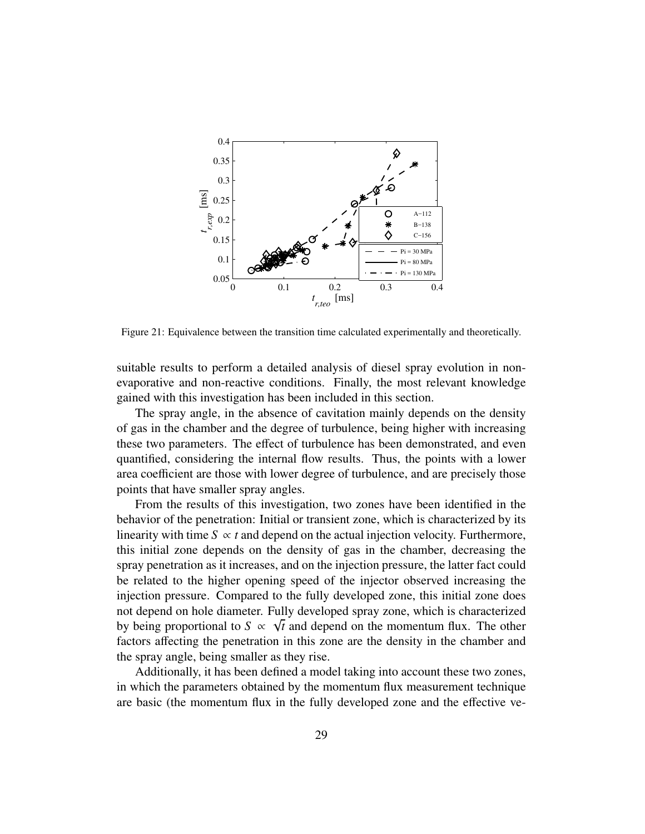

<span id="page-29-0"></span>Figure 21: Equivalence between the transition time calculated experimentally and theoretically.

suitable results to perform a detailed analysis of diesel spray evolution in nonevaporative and non-reactive conditions. Finally, the most relevant knowledge gained with this investigation has been included in this section.

The spray angle, in the absence of cavitation mainly depends on the density of gas in the chamber and the degree of turbulence, being higher with increasing these two parameters. The effect of turbulence has been demonstrated, and even quantified, considering the internal flow results. Thus, the points with a lower area coefficient are those with lower degree of turbulence, and are precisely those points that have smaller spray angles.

From the results of this investigation, two zones have been identified in the behavior of the penetration: Initial or transient zone, which is characterized by its linearity with time  $S \propto t$  and depend on the actual injection velocity. Furthermore, this initial zone depends on the density of gas in the chamber, decreasing the spray penetration as it increases, and on the injection pressure, the latter fact could be related to the higher opening speed of the injector observed increasing the injection pressure. Compared to the fully developed zone, this initial zone does not depend on hole diameter. Fully developed spray zone, which is characterized by being proportional to  $S \propto \sqrt{t}$  and depend on the momentum flux. The other factors affecting the penetration in this zone are the density in the chamber and the spray angle, being smaller as they rise.

Additionally, it has been defined a model taking into account these two zones, in which the parameters obtained by the momentum flux measurement technique are basic (the momentum flux in the fully developed zone and the effective ve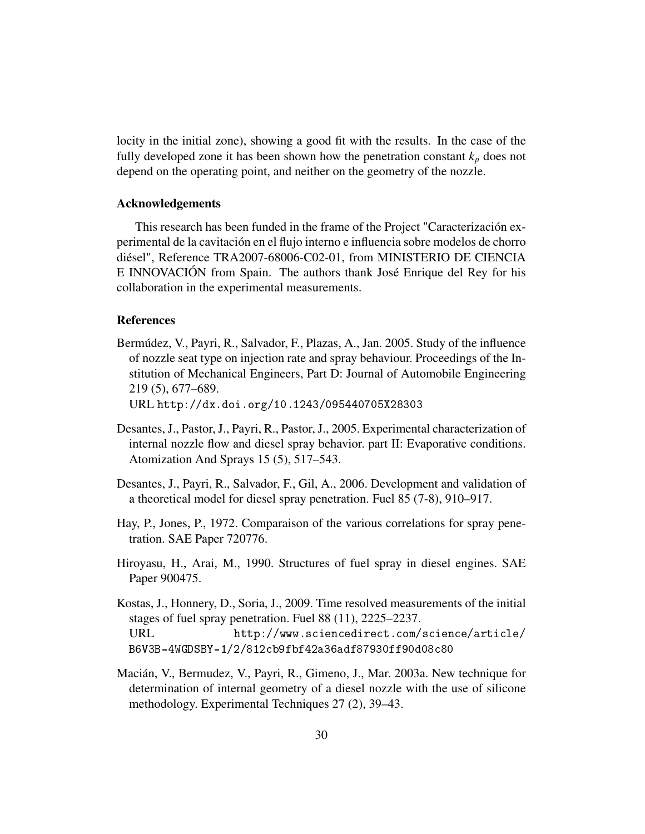locity in the initial zone), showing a good fit with the results. In the case of the fully developed zone it has been shown how the penetration constant  $k_p$  does not depend on the operating point, and neither on the geometry of the nozzle.

## Acknowledgements

This research has been funded in the frame of the Project "Caracterización experimental de la cavitación en el flujo interno e influencia sobre modelos de chorro diésel", Reference TRA2007-68006-C02-01, from MINISTERIO DE CIENCIA E INNOVACIÓN from Spain. The authors thank José Enrique del Rey for his collaboration in the experimental measurements.

# **References**

<span id="page-30-6"></span>Bermúdez, V., Payri, R., Salvador, F., Plazas, A., Jan. 2005. Study of the influence of nozzle seat type on injection rate and spray behaviour. Proceedings of the Institution of Mechanical Engineers, Part D: Journal of Automobile Engineering 219 (5), 677–689.

URL <http://dx.doi.org/10.1243/095440705X28303>

- <span id="page-30-2"></span>Desantes, J., Pastor, J., Payri, R., Pastor, J., 2005. Experimental characterization of internal nozzle flow and diesel spray behavior. part II: Evaporative conditions. Atomization And Sprays 15 (5), 517–543.
- <span id="page-30-3"></span>Desantes, J., Payri, R., Salvador, F., Gil, A., 2006. Development and validation of a theoretical model for diesel spray penetration. Fuel 85 (7-8), 910–917.
- <span id="page-30-0"></span>Hay, P., Jones, P., 1972. Comparaison of the various correlations for spray penetration. SAE Paper 720776.
- <span id="page-30-1"></span>Hiroyasu, H., Arai, M., 1990. Structures of fuel spray in diesel engines. SAE Paper 900475.
- <span id="page-30-5"></span>Kostas, J., Honnery, D., Soria, J., 2009. Time resolved measurements of the initial stages of fuel spray penetration. Fuel 88 (11), 2225–2237. URL [http://www.sciencedirect.com/science/article/](http://www.sciencedirect.com/science/article/B6V3B-4WGDSBY-1/2/812cb9fbf42a36adf87930ff90d08c80) [B6V3B-4WGDSBY-1/2/812cb9fbf42a36adf87930ff90d08c80](http://www.sciencedirect.com/science/article/B6V3B-4WGDSBY-1/2/812cb9fbf42a36adf87930ff90d08c80)
- <span id="page-30-4"></span>Macián, V., Bermudez, V., Payri, R., Gimeno, J., Mar. 2003a. New technique for determination of internal geometry of a diesel nozzle with the use of silicone methodology. Experimental Techniques 27 (2), 39–43.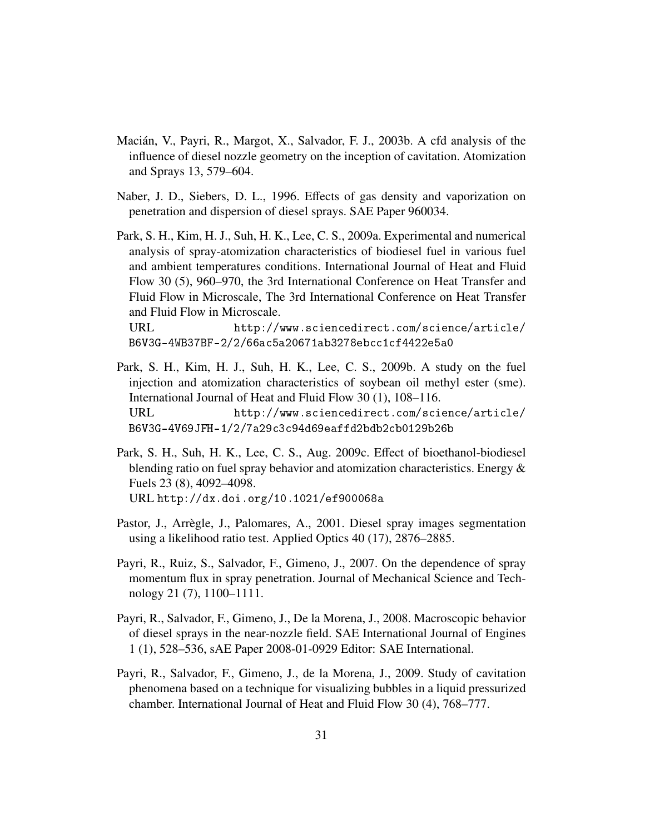- <span id="page-31-6"></span>Macián, V., Payri, R., Margot, X., Salvador, F. J., 2003b. A cfd analysis of the influence of diesel nozzle geometry on the inception of cavitation. Atomization and Sprays 13, 579–604.
- <span id="page-31-4"></span>Naber, J. D., Siebers, D. L., 1996. Effects of gas density and vaporization on penetration and dispersion of diesel sprays. SAE Paper 960034.
- <span id="page-31-2"></span>Park, S. H., Kim, H. J., Suh, H. K., Lee, C. S., 2009a. Experimental and numerical analysis of spray-atomization characteristics of biodiesel fuel in various fuel and ambient temperatures conditions. International Journal of Heat and Fluid Flow 30 (5), 960–970, the 3rd International Conference on Heat Transfer and Fluid Flow in Microscale, The 3rd International Conference on Heat Transfer and Fluid Flow in Microscale. URL [http://www.sciencedirect.com/science/article/](http://www.sciencedirect.com/science/article/B6V3G-4WB37BF-2/2/66ac5a20671ab3278ebcc1cf4422e5a0)

[B6V3G-4WB37BF-2/2/66ac5a20671ab3278ebcc1cf4422e5a0](http://www.sciencedirect.com/science/article/B6V3G-4WB37BF-2/2/66ac5a20671ab3278ebcc1cf4422e5a0)

- <span id="page-31-3"></span>Park, S. H., Kim, H. J., Suh, H. K., Lee, C. S., 2009b. A study on the fuel injection and atomization characteristics of soybean oil methyl ester (sme). International Journal of Heat and Fluid Flow 30 (1), 108–116. URL [http://www.sciencedirect.com/science/article/](http://www.sciencedirect.com/science/article/B6V3G-4V69JFH-1/2/7a29c3c94d69eaffd2bdb2cb0129b26b) [B6V3G-4V69JFH-1/2/7a29c3c94d69eaffd2bdb2cb0129b26b](http://www.sciencedirect.com/science/article/B6V3G-4V69JFH-1/2/7a29c3c94d69eaffd2bdb2cb0129b26b)
- <span id="page-31-1"></span>Park, S. H., Suh, H. K., Lee, C. S., Aug. 2009c. Effect of bioethanol-biodiesel blending ratio on fuel spray behavior and atomization characteristics. Energy & Fuels 23 (8), 4092–4098. URL <http://dx.doi.org/10.1021/ef900068a>
- <span id="page-31-7"></span>Pastor, J., Arrègle, J., Palomares, A., 2001. Diesel spray images segmentation using a likelihood ratio test. Applied Optics 40 (17), 2876–2885.
- <span id="page-31-5"></span>Payri, R., Ruiz, S., Salvador, F., Gimeno, J., 2007. On the dependence of spray momentum flux in spray penetration. Journal of Mechanical Science and Technology 21 (7), 1100–1111.
- <span id="page-31-8"></span>Payri, R., Salvador, F., Gimeno, J., De la Morena, J., 2008. Macroscopic behavior of diesel sprays in the near-nozzle field. SAE International Journal of Engines 1 (1), 528–536, sAE Paper 2008-01-0929 Editor: SAE International.
- <span id="page-31-0"></span>Payri, R., Salvador, F., Gimeno, J., de la Morena, J., 2009. Study of cavitation phenomena based on a technique for visualizing bubbles in a liquid pressurized chamber. International Journal of Heat and Fluid Flow 30 (4), 768–777.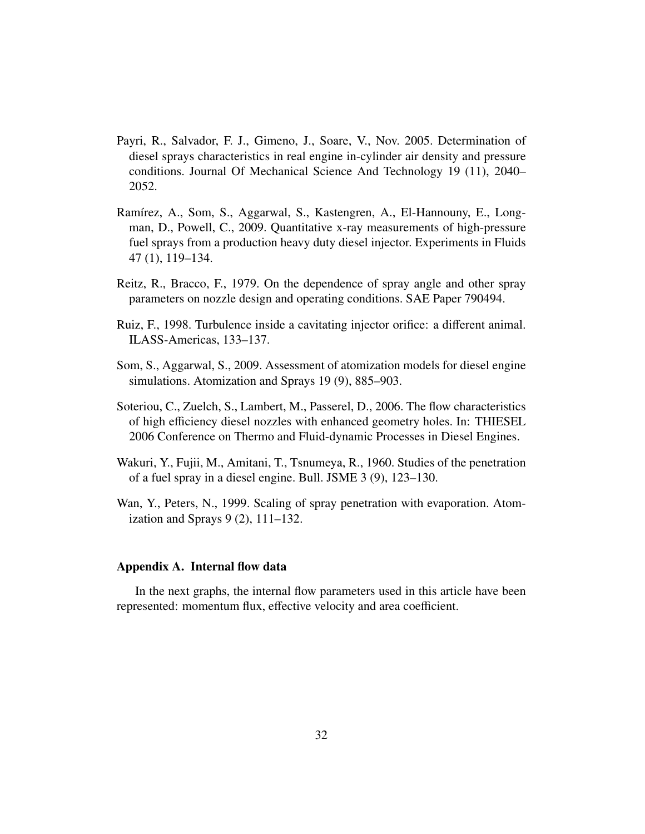- <span id="page-32-5"></span>Payri, R., Salvador, F. J., Gimeno, J., Soare, V., Nov. 2005. Determination of diesel sprays characteristics in real engine in-cylinder air density and pressure conditions. Journal Of Mechanical Science And Technology 19 (11), 2040– 2052.
- <span id="page-32-1"></span>Ramírez, A., Som, S., Aggarwal, S., Kastengren, A., El-Hannouny, E., Longman, D., Powell, C., 2009. Quantitative x-ray measurements of high-pressure fuel sprays from a production heavy duty diesel injector. Experiments in Fluids 47 (1), 119–134.
- <span id="page-32-2"></span>Reitz, R., Bracco, F., 1979. On the dependence of spray angle and other spray parameters on nozzle design and operating conditions. SAE Paper 790494.
- <span id="page-32-3"></span>Ruiz, F., 1998. Turbulence inside a cavitating injector orifice: a different animal. ILASS-Americas, 133–137.
- <span id="page-32-0"></span>Som, S., Aggarwal, S., 2009. Assessment of atomization models for diesel engine simulations. Atomization and Sprays 19 (9), 885–903.
- <span id="page-32-4"></span>Soteriou, C., Zuelch, S., Lambert, M., Passerel, D., 2006. The flow characteristics of high efficiency diesel nozzles with enhanced geometry holes. In: THIESEL 2006 Conference on Thermo and Fluid-dynamic Processes in Diesel Engines.
- <span id="page-32-7"></span>Wakuri, Y., Fujii, M., Amitani, T., Tsnumeya, R., 1960. Studies of the penetration of a fuel spray in a diesel engine. Bull. JSME 3 (9), 123–130.
- <span id="page-32-6"></span>Wan, Y., Peters, N., 1999. Scaling of spray penetration with evaporation. Atomization and Sprays 9 (2), 111–132.

# <span id="page-32-8"></span>Appendix A. Internal flow data

In the next graphs, the internal flow parameters used in this article have been represented: momentum flux, effective velocity and area coefficient.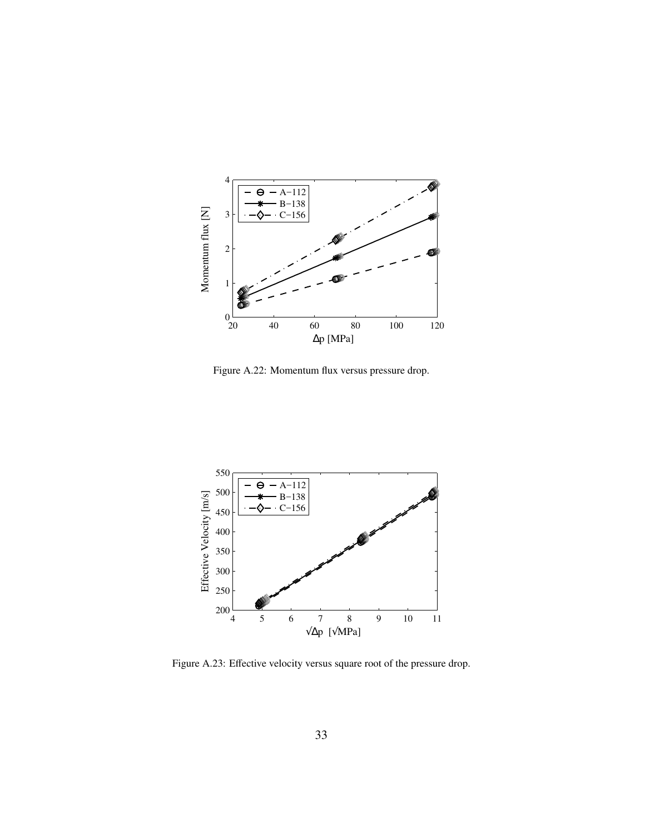

Figure A.22: Momentum flux versus pressure drop.



Figure A.23: Effective velocity versus square root of the pressure drop.